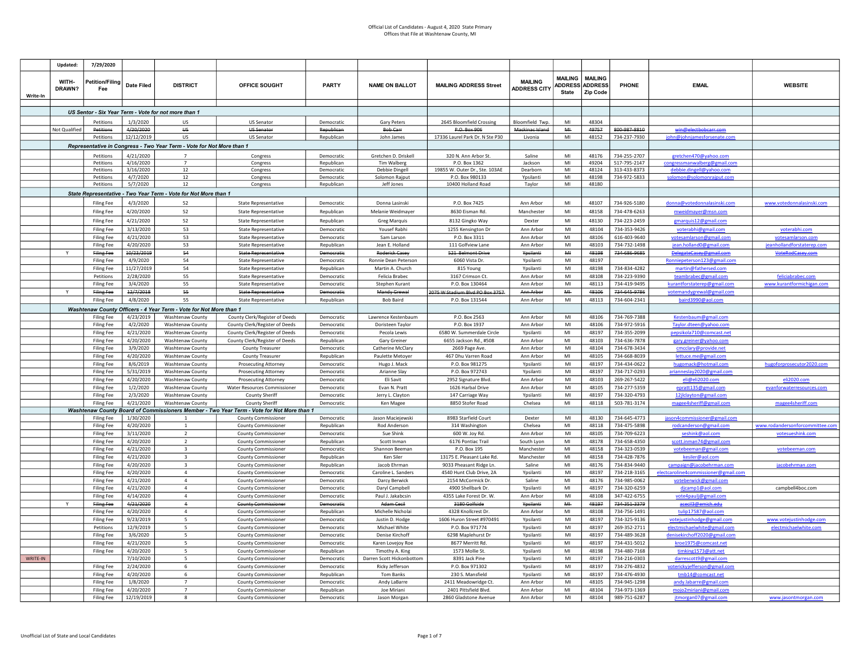|          | Updated:        | 7/29/2020                              |                        |                                                                       |                                                                                           |                          |                               |                                                      |                                       |                         |                                                             |                              |                                                    |                                 |
|----------|-----------------|----------------------------------------|------------------------|-----------------------------------------------------------------------|-------------------------------------------------------------------------------------------|--------------------------|-------------------------------|------------------------------------------------------|---------------------------------------|-------------------------|-------------------------------------------------------------|------------------------------|----------------------------------------------------|---------------------------------|
| Write-In | WITH-<br>DRAWN? | <b>Petition/Filinc</b><br>Fee          | <b>Date Filed</b>      | <b>DISTRICT</b>                                                       | OFFICE SOUGHT                                                                             | <b>PARTY</b>             | <b>NAME ON BALLOT</b>         | <b>MAILING ADDRESS Street</b>                        | <b>MAILING</b><br><b>ADDRESS CITY</b> | <b>MAILING</b><br>State | <b>MAILING</b><br><b>ADDRESS ADDRESS</b><br><b>Zip Code</b> | <b>PHONE</b>                 | <b>EMAIL</b>                                       | <b>WEBSITE</b>                  |
|          |                 |                                        |                        |                                                                       |                                                                                           |                          |                               |                                                      |                                       |                         |                                                             |                              |                                                    |                                 |
|          |                 |                                        |                        | US Sentor - Six Year Term - Vote for not more than 1                  |                                                                                           |                          |                               |                                                      |                                       |                         |                                                             |                              |                                                    |                                 |
|          |                 | Petitions                              | 1/3/2020               | US                                                                    | <b>US Senator</b>                                                                         | Democratio               | <b>Gary Peters</b>            | 2645 Bloomfield Crossing                             | Bloomfield Twp.                       | MI                      | 48304                                                       |                              |                                                    |                                 |
|          | Not Qualified   | Petitions                              | 4/20/2020              | щ                                                                     | <b>US Senato</b>                                                                          | Republican               | <b>Bob Carr</b>               | <b>P.O. Box 906</b>                                  | Mackinac Island                       | MI-                     | 49757                                                       | 800-987-8810                 | win@electbobcarr.com                               |                                 |
|          |                 | Petitions                              | 12/12/2019             | US                                                                    | <b>US Senator</b>                                                                         | Republican               | John James                    | 17336 Laurel Park Dr. N Ste P30                      | Livonia                               | M <sub>l</sub>          | 48152                                                       | 734-237-7930                 | iohn@iohniamesforsenate.com                        |                                 |
|          |                 |                                        |                        | Representative in Congress - Two Year Term - Vote for Not More than 1 |                                                                                           |                          |                               |                                                      |                                       |                         |                                                             |                              |                                                    |                                 |
|          |                 | Petitions                              | 4/21/2020              |                                                                       | Congress                                                                                  | Democratic               | Gretchen D. Driskell          | 320 N. Ann Arbor St.                                 | Saline                                | MI                      | 48176                                                       | 734-255-2707                 | gretchen470@yahoo.com                              |                                 |
|          |                 | Petitions                              | 4/16/2020              | $\overline{7}$                                                        | Congress                                                                                  | Republican               | <b>Tim Walberg</b>            | P.O. Box 1362                                        | Jackson                               | MI                      | 49204                                                       | 517-795-2147                 | congressmanwalberg@gmail.com                       |                                 |
|          |                 | Petitions                              | 3/16/2020              | 12                                                                    | Congress                                                                                  | Democratic               | Debbie Dingell                | 19855 W. Outer Dr., Ste. 103AE                       | Dearborn                              | MI                      | 48124                                                       | 313-433-8373                 | debhie dingell@vahoo.com                           |                                 |
|          |                 | Petitions                              | 4/7/2020               | 12                                                                    | Congress                                                                                  | Democratio               | Solomon Raiput                | P.O. Box 980133                                      | Ypsilanti                             | MI                      | 48198                                                       | 734-972-5833                 | solomon@solomonrainut.com                          |                                 |
|          |                 | Petitions                              | 5/7/2020               | 12                                                                    | Congress                                                                                  | Republican               | Jeff Jones                    | 10400 Holland Road                                   | Tavlor                                | MI                      | 48180                                                       |                              |                                                    |                                 |
|          |                 |                                        |                        | State Representative - Two Year Term - Vote for Not More than 1       |                                                                                           |                          |                               |                                                      |                                       |                         |                                                             |                              |                                                    |                                 |
|          |                 | <b>Filing Fee</b>                      | 4/3/2020               | 52                                                                    | State Representative                                                                      | Democratic               | Donna Lasinski                | P.O. Box 7425                                        | Ann Arbor                             | MI                      | 48107                                                       | 734-926-5180                 | donna@votedonnalasinski.con                        | www.votedonnalasinski.cor       |
|          |                 | <b>Filing Fee</b>                      | 4/20/2020              | 52                                                                    | State Representative                                                                      | Renublican               | Melanie Weidmayer             | 8630 Eisman Rd.                                      | Manchester                            | MI                      | 48158                                                       | 734-478-6263                 | mweidmayer@msn.com                                 |                                 |
|          |                 | <b>Filing Fee</b>                      | 4/21/2020              | 52                                                                    | <b>State Representative</b>                                                               | Republican               | <b>Greg Marquis</b>           | 8132 Gingko Way                                      | Dexter                                | MI                      | 48130                                                       | 734-223-2459                 | gmarquis12@gmail.com                               |                                 |
|          |                 | <b>Filing Fee</b>                      | 3/13/2020              | 53                                                                    | <b>State Representative</b>                                                               | Democratic               | Yousef Rabhi                  | 1255 Kensington Dr                                   | Ann Arbor                             | MI                      | 48104                                                       | 734-353-9426                 |                                                    | voterabhi.com                   |
|          |                 | <b>Filing Fee</b>                      | 4/21/2020              | 53                                                                    | <b>State Representative</b>                                                               | Democratic               | Sam Larson                    | P.O. Box 3311                                        | Ann Arhor                             | MI                      | 48106                                                       | 616-403-9640                 | voterabhi@gmail.com                                | votesamlarson.com               |
|          |                 | <b>Filing Fee</b>                      | 4/20/2020              | 53                                                                    | <b>State Representative</b>                                                               | Republican               | Jean E. Holland               | 111 Golfview Lane                                    | Ann Arbor                             | MI                      | 48103                                                       | 734-732-1498                 | votesamlarson@gmail.com<br>jean.holland0@gmail.com | jeanhollandforstaterep.com      |
|          | Y               | <b>Filing Fee</b>                      | 10/23/2019             | 54                                                                    | <b>State Representative</b>                                                               | <b>Democratic</b>        | Roderick Casey                | 521 Belmont Drive                                    | Ypsilanti                             | MH                      | 48198                                                       | 734 686 9685                 | DelegateCasey@gmail.com                            | VoteRodCasey.com                |
|          |                 | <b>Filing Fee</b>                      | 4/9/2020               | 54                                                                    | <b>State Representative</b>                                                               | Democratic               | Ronnie Dean Peterson          | 6060 Vista Dr                                        | Ypsilanti                             | MI                      | 48197                                                       |                              | Ronniepeterson123@gmail.con                        |                                 |
|          |                 | <b>Filing Fee</b>                      | 11/27/2019             | 54                                                                    | <b>State Representative</b>                                                               | Republican               | Martin A. Church              | 815 Young                                            | Ypsilanti                             | MI                      | 48198                                                       | 734-834-4282                 | martin@fathersed.com                               |                                 |
|          |                 | Petitions                              | 2/28/2020              | 55                                                                    | <b>State Representative</b>                                                               | Democratic               | Felicia Brabec                | 3167 Crimson Ct                                      | Ann Arbor                             | MI                      | 48108                                                       | 734-223-9390                 | teambrabec@gmail.com                               | eliciabrabec.com                |
|          |                 | <b>Filing Fee</b>                      | 3/4/2020               | 55                                                                    | <b>State Representative</b>                                                               | Democratic               | Stephen Kurant                | P.O. Box 130464                                      | Ann Arbor                             | MI                      | 48113                                                       | 734-419-9495                 | kurantforstaterep@gmail.com                        | www.kurantformichigan.com       |
|          | Y               | <b>Filing Fee</b>                      | 12/7/2018              | 55                                                                    | <b>State Representative</b>                                                               | <b>Democratic</b>        | <b>Mandy Grewal</b>           | 2075 W Stadium Blvd PO Box 3757                      | Ann Arbor                             | M <sub>1</sub>          | 48106                                                       | 734 645 9786                 | votemandygrewal@gmail.com                          |                                 |
|          |                 | <b>Filing Fee</b>                      | 4/8/2020               | 55                                                                    | <b>State Representative</b>                                                               | Republican               | <b>Bob Baird</b>              | P.O. Box 131544                                      | Ann Arbor                             | MI                      | 48113                                                       | 734-604-2341                 | baird3990@aol.com                                  |                                 |
|          |                 |                                        |                        | Washtenaw County Officers - 4 Year Term - Vote for Not More than 1    |                                                                                           |                          |                               |                                                      |                                       |                         |                                                             |                              |                                                    |                                 |
|          |                 | <b>Filing Fee</b>                      | 4/23/2019              | Washtenaw County                                                      | County Clerk/Register of Deeds                                                            | Democratic               | Lawrence Kestenbaum           | P.O. Box 2563                                        | Ann Arhor                             | MI                      | 48106                                                       | 734-769-7388                 | Kestenbaum@gmail.com                               |                                 |
|          |                 | <b>Filing Fee</b>                      | 4/2/2020               | <b>Washtenaw County</b>                                               | County Clerk/Register of Deeds                                                            | Democratic               | Doristeen Taylor              | P.O. Box 1937                                        | Ann Arbor                             | MI                      | 48106                                                       | 734-972-5916                 | Taylor.dteen@yahoo.com                             |                                 |
|          |                 | <b>Filing Fee</b>                      | 4/21/2020              | <b>Washtenaw County</b>                                               | County Clerk/Register of Deeds                                                            | Democratic               | Pecola Lewis                  | 6580 W. Summerdale Circle                            | Ypsilanti                             | MI                      | 48197                                                       | 734-355-2099                 | pepsikola710@comcast.net                           |                                 |
|          |                 | <b>Filing Fee</b>                      | 4/20/2020              | Washtenaw County                                                      | County Clerk/Register of Deeds                                                            | Republican               | Gary Greiner                  | 6655 Jackson Rd., #508                               | Ann Arbor                             | MI                      | 48103                                                       | 734-636-7878                 | gary.greiner@yahoo.con                             |                                 |
|          |                 | <b>Filing Fee</b>                      | 3/9/2020               | Washtenaw County                                                      | <b>County Treasurer</b>                                                                   | Democratic               | Catherine McClary             | 2669 Page Ave.                                       | Ann Arbor                             | MI                      | 48104                                                       | 734-678-3434                 | cmcclary@provide.net                               |                                 |
|          |                 | <b>Filing Fee</b>                      | 4/20/2020              | Washtenaw County                                                      | County Treasurer                                                                          | Republican               | Paulette Metoyer              | 467 Dhu Varren Road                                  | Ann Arbor                             | MI                      | 48105                                                       | 734-668-8039                 | ettuce.me@gmail.com                                |                                 |
|          |                 | <b>Filing Fee</b>                      | 8/6/2019               | Washtenaw County                                                      | Prosecuting Attorney                                                                      | Democratic               | Hugo J. Mack                  | P.O. Box 981275                                      | Ypsilanti                             | MI                      | 48197                                                       | 734-434-0622                 | hugomack@hotmail.com                               | hugoforprosecutor2020.com       |
|          |                 | <b>Filing Fee</b>                      | 5/31/2019              | Washtenaw County                                                      | <b>Prosecuting Attorney</b>                                                               | Democratic               | Arianne Slay                  | P.O. Box 972743                                      | Ypsilanti                             | MI                      | 48197                                                       | 734-717-0293                 | arianneslay2020@gmail.com                          |                                 |
|          |                 | <b>Filing Fee</b>                      | 4/20/2020              | Washtenaw County                                                      | <b>Prosecuting Attorney</b>                                                               | Democratic               | Eli Savit                     | 2952 Signature Blvd.                                 | Ann Arbor                             | MI                      | 48103                                                       | 269-267-5422                 | eli@eli2020.com                                    | eli2020.com                     |
|          |                 | <b>Filing Fee</b>                      | 1/2/2020               | <b>Washtenaw County</b>                                               | <b>Water Resources Commissioner</b>                                                       | Democratic               | Evan N. Pratt                 | 1626 Harbal Drive                                    | Ann Arbor                             | MI                      | 48105                                                       | 734-277-5359                 | epratt135@gmail.com                                | evanforwaterresources.com       |
|          |                 | <b>Filing Fee</b>                      | 2/3/2020               | <b>Washtenaw County</b>                                               | County Sheriff                                                                            | Democratic               | Jerry L. Clayton              | 147 Carriage Way                                     | Ypsilanti                             | MI                      | 48197                                                       | 734-320-4793                 | 12jlclayton@gmail.com                              |                                 |
|          |                 | <b>Filing Fee</b>                      | 4/21/2020              | Washtenaw County                                                      | <b>County Sheriff</b>                                                                     | Democratic               | Ken Magee                     | 8850 Stofer Road                                     | Chelsea                               | MI                      | 48118                                                       | 503-781-3174                 | magee4sheriff@gmail.com                            | magee4sheriff.com               |
|          |                 |                                        |                        |                                                                       | Washtenaw County Board of Commissioners Member - Two Year Term - Vote for Not More than 1 |                          |                               |                                                      |                                       |                         |                                                             |                              |                                                    |                                 |
|          |                 | <b>Filing Fee</b>                      | 1/30/2020              | -1                                                                    | <b>County Commissioner</b>                                                                | Democratic               | Jason Maciejewski             | 8983 Starfield Court                                 | Dexter                                | $\mathsf{M}\mathsf{I}$  | 48130                                                       | 734-645-4773                 | ason4commissioner@gmail.com                        |                                 |
|          |                 | Filing Fee                             | 4/20/2020              | 1                                                                     | County Commissioner                                                                       | Republican               | <b>Rod Anderson</b>           | 314 Washington                                       | Chelsea                               | MI                      | 48118                                                       | 734-475-5898                 | rodcanderson@gmail.com                             | www.rodandersonforcommittee.con |
|          |                 | <b>Filing Fee</b>                      | 3/11/2020              | $\overline{2}$                                                        | <b>County Commissioner</b>                                                                | Democratic               | Sue Shink                     | 600 W. Joy Rd.                                       | Ann Arbor                             | MI                      | 48105                                                       | 734-709-6223                 | seshink@aol.com                                    | votesueshink.com                |
|          |                 | <b>Filing Fee</b>                      | 4/20/2020<br>4/21/2020 | $\overline{2}$<br>$\overline{3}$                                      | <b>County Commissioner</b><br>County Commissioner                                         | Republican               | Scott Inman<br>Shannon Beeman | 6176 Pontiac Trail<br>P.O. Box 195                   | South Lyon<br>Manchester              | MI<br>MI                | 48178<br>48158                                              | 734-658-4350<br>734-323-0539 | scott.inman74@gmail.com<br>votebeeman@gmail.con    |                                 |
|          |                 | <b>Filing Fee</b>                      | 4/21/2020              | $\overline{\mathbf{3}}$                                               |                                                                                           | Democratic               |                               |                                                      |                                       | MI                      | 48158                                                       | 734-428-7876                 |                                                    | otebeeman.com                   |
|          |                 | <b>Filing Fee</b><br><b>Filing Fee</b> | 4/20/2020              | $\overline{\mathbf{3}}$                                               | County Commissioner<br><b>County Commissioner</b>                                         | Republican<br>Republican | Ken Siler<br>Jacob Ehrman     | 13175 E. Pleasant Lake Rd<br>9033 Pheasant Ridge Ln. | Manchester<br>Saline                  | MI                      | 48176                                                       | 734-834-9440                 | kesiler@aol.com<br>campaign@iacobehrman.com        | iacobehrman.com                 |
|          |                 | <b>Filing Fee</b>                      | 4/20/2020              | $\overline{4}$                                                        | <b>County Commissioner</b>                                                                | Democratic               | Caroline L. Sanders           | 4540 Hunt Club Drive, 2A                             | Ypsilanti                             | MI                      | 48197                                                       | 734-218-3165                 | electcaroline4commissioner@gmail.com               |                                 |
|          |                 | <b>Filing Fee</b>                      | 4/21/2020              | $\overline{a}$                                                        | <b>County Commissioner</b>                                                                | Democratic               | Darcy Berwick                 | 2154 McCormick Dr.                                   | Saline                                | MI                      | 48176                                                       | 734-985-0062                 | voteberwick@gmail.com                              |                                 |
|          |                 | <b>Filing Fee</b>                      | 4/21/2020              | $\overline{4}$                                                        | <b>County Commissioner</b>                                                                | Democratic               | Daryl Campbell                | 4900 Shellbark Dr.                                   | Ypsilanti                             | MI                      | 48197                                                       | 734-320-6259                 | dicamp1@aol.com                                    | campbell4boc.com                |
|          |                 | <b>Filing Fee</b>                      | 4/14/2020              | $\overline{4}$                                                        | <b>County Commissioner</b>                                                                | Democratic               | Paul J. Jakabcsin             | 4355 Lake Forest Dr. W                               | Ann Arbor                             | MI                      | 48108                                                       | 347-422-6755                 | vote4paulj@gmail.com                               |                                 |
|          |                 | <b>Filing Fee</b>                      | 4/21/2020              | $\overline{4}$                                                        | County Commissioner                                                                       | Democratic               | <b>Adam Cecil</b>             | 3180 Golfside                                        | Ynsilanti                             | ML.                     | 48197                                                       | 734-351-3379                 | acecil3@emich.edu                                  |                                 |
|          |                 | <b>Filing Fee</b>                      | 4/20/2020              | $\overline{4}$                                                        | <b>County Commissioner</b>                                                                | Republican               | Michelle Nicholai             | 4328 Knollcrest Dr                                   | Ann Arbor                             | MI                      | 48108                                                       | 734-756-1491                 | tulip17587@aol.com                                 |                                 |
|          |                 | <b>Filing Fee</b>                      | 9/23/2019              | 5                                                                     | <b>County Commissioner</b>                                                                | Democratic               | Justin D. Hodge               | 1606 Huron Street #970491                            | Ypsilanti                             | MI                      | 48197                                                       | 734-325-9136                 | <u>rotejustinhodge@gmail.com</u>                   | www.votejustinhodge.com         |
|          |                 | Petitions                              | 12/9/2019              | 5                                                                     | <b>County Commissioner</b>                                                                | Democratic               | Michael White                 | P.O. Box 971774                                      | Ypsilanti                             | MI                      | 48197                                                       | 269-352-2711                 | electmichaelwhite@gmail.com                        | electmichaelwhite.com           |
|          |                 | <b>Filing Fee</b>                      | 3/6/2020               | $5\overline{5}$                                                       | <b>County Commissioner</b>                                                                | Democratic               | Denise Kirchoff               | 6298 Maplehurst Dr                                   | Ypsilanti                             | MI                      | 48197                                                       | 734-489-3628                 | denisekirchoff2020@gmail.com                       |                                 |
|          |                 | <b>Filing Fee</b>                      | 4/21/2020              | 5                                                                     | <b>County Commissioner</b>                                                                | Democratic               | Karen Lovejoy Roe             | 8677 Merritt Rd.                                     | Ypsilanti                             | MI                      | 48197                                                       | 734-431-5012                 | kroe1975@comcast.net                               |                                 |
|          |                 | <b>Filing Fee</b>                      | 4/20/2020              | 5                                                                     | <b>County Commissioner</b>                                                                | Republican               | Timothy A. King               | 1573 Mollie St.                                      | Ypsilanti                             | MI                      | 48198                                                       | 734-480-7168                 | timking1573@att.net                                |                                 |
| WRITE-IN |                 |                                        | 7/10/2020              | 5                                                                     | <b>County Commissioner</b>                                                                | Democratic               | Darren Scott Hickonbottom     | 8391 Jack Pine                                       | Ypsilanti                             | MI                      | 48197                                                       | 734-216-0303                 | darrescott9@gmail.com                              |                                 |
|          |                 | <b>Filing Fee</b>                      | 2/24/2020              | 6                                                                     | <b>County Commissioner</b>                                                                | Democratic               | Ricky Jefferson               | P.O. Box 971302                                      | Ypsilanti                             | MI                      | 48197                                                       | 734-276-4832                 | voterickyjefferson@gmail.com                       |                                 |
|          |                 | <b>Filing Fee</b>                      | 4/20/2020              | 6                                                                     | <b>County Commissioner</b>                                                                | Republican               | <b>Tom Banks</b>              | 230 S. Mansfield                                     | Ypsilanti                             | MI                      | 48197                                                       | 734-476-4930                 | tmb14@comcast.net                                  |                                 |
|          |                 | <b>Filing Fee</b>                      | 1/8/2020               | $\overline{7}$                                                        | <b>County Commissioner</b>                                                                | Democratic               | Andy LaBarre                  | 2411 Meadowridge Ct.                                 | Ann Arbor                             | MI                      | 48105                                                       | 734-945-1298                 | andy.labarre@gmail.com                             |                                 |
|          |                 | <b>Filing Fee</b>                      | 4/20/2020              | $\overline{7}$                                                        | <b>County Commissioner</b>                                                                | Republican               | Joe Miriani                   | 2401 Pittsfield Blvd.                                | Ann Arbor                             | MI                      | 48104                                                       | 734-973-1369                 | mojo2miriani@gmail.com                             |                                 |
|          |                 | <b>Filing Fee</b>                      | 12/19/2019             | $\mathbf{g}$                                                          | <b>County Commissioner</b>                                                                | Democratic               | Jason Morgan                  | 2860 Gladstone Avenue                                | Ann Arbor                             | MI                      | 48104                                                       | 989-751-6287                 | jtmorgan07@gmail.com                               | www.jasontmorgan.com            |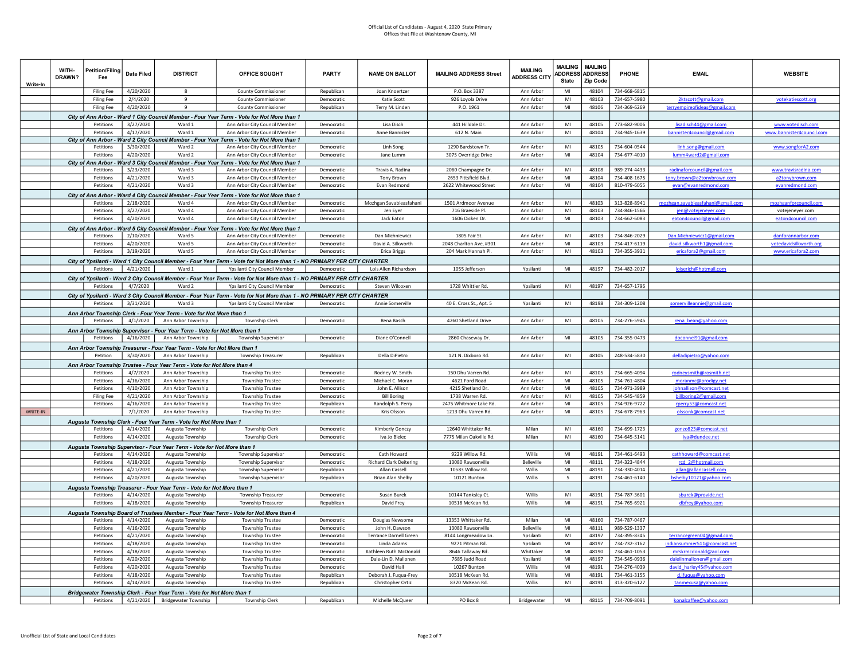## Official List of Candidates - August 4, 2020 State Primary Offices that File at Washtenaw County, MI

| Write-In | WITH-<br>DRAWN? | Petition/Filing<br>Fee | <b>Date Filed</b>      | <b>DISTRICT</b>                                                                                 | OFFICE SOUGHT                                                                                                                                             | <b>PARTY</b>             | <b>NAME ON BALLOT</b>                      | <b>MAILING ADDRESS Street</b>        | <b>MAILING</b><br><b>ADDRESS CITY</b> | <b>MAILING</b><br><b>ADDRESS</b><br><b>State</b> | <b>MAILING</b><br><b>ADDRESS</b><br><b>Zip Code</b> | PHONE                        | <b>EMAIL</b>                                   | <b>WEBSITE</b>            |
|----------|-----------------|------------------------|------------------------|-------------------------------------------------------------------------------------------------|-----------------------------------------------------------------------------------------------------------------------------------------------------------|--------------------------|--------------------------------------------|--------------------------------------|---------------------------------------|--------------------------------------------------|-----------------------------------------------------|------------------------------|------------------------------------------------|---------------------------|
|          |                 | <b>Filing Fee</b>      | 4/20/2020              | 8                                                                                               | <b>County Commissioner</b>                                                                                                                                | Republican               | Joan Knoertzer                             | P.O. Box 3387                        | Ann Arbor                             | MI                                               | 48104                                               | 734-668-6815                 |                                                |                           |
|          |                 | <b>Filing Fee</b>      | 2/4/2020               | 9                                                                                               | <b>County Commissioner</b>                                                                                                                                | Democratic               | Katie Scott                                | 926 Loyola Drive                     | Ann Arhor                             | MI                                               | 48103                                               | 734-657-5980                 | 2ktscott@gmail.com                             | votekatiescott.org        |
|          |                 | <b>Filing Fee</b>      | 4/20/2020              | 9                                                                                               | County Commissioner                                                                                                                                       | Republican               | Terry M. Linden                            | P.O. 1961                            | Ann Arbor                             | MI                                               | 48106                                               | 734-369-6269                 | terryempireofideas@gmail.com                   |                           |
|          |                 |                        |                        |                                                                                                 | City of Ann Arbor - Ward 1 City Council Member - Four Year Term - Vote for Not More than 1                                                                |                          |                                            |                                      |                                       |                                                  |                                                     |                              |                                                |                           |
|          |                 | Petitions              | 3/27/2020              | Ward 1                                                                                          | Ann Arbor City Council Member                                                                                                                             | Democratio               | Lisa Disch                                 | 441 Hilldale Dr.                     | Ann Arbor                             | MI                                               | 48105                                               | 773-682-9006                 | isadisch44@gmail.com                           | www.votedisch.com         |
|          |                 | Petitions              | 4/17/2020              | Ward 1                                                                                          | Ann Arbor City Council Member                                                                                                                             | Democratic               | Anne Bannister                             | 612 N. Main                          | Ann Arbor                             | MI                                               | 48104                                               | 734-945-1639                 | bannister4council@gmail.com                    | www.bannister4council.com |
|          |                 |                        |                        |                                                                                                 | City of Ann Arbor - Ward 2 City Council Member - Four Year Term - Vote for Not More than 1                                                                |                          |                                            |                                      |                                       |                                                  |                                                     |                              |                                                |                           |
|          |                 | Petitions              | 3/30/2020              | Ward 2                                                                                          | Ann Arbor City Council Member                                                                                                                             | Democratio               | Linh Song                                  | 1290 Bardstown Tr.                   | Ann Arhor                             | MI                                               | 48105                                               | 734-604-0544                 | linh.song@gmail.com                            | www.songforA2.com         |
|          |                 | Petitions              | 4/20/2020              | Ward 2                                                                                          | Ann Arbor City Council Member                                                                                                                             | Democratic               | Jane Lumm                                  | 3075 Overridge Drive                 | Ann Arbor                             | MI                                               | 48104                                               | 734-677-4010                 | lumm4ward2@gmail.com                           |                           |
|          |                 | Petitions              | 3/23/2020              | Ward 3                                                                                          | City of Ann Arbor - Ward 3 City Council Member - Four Year Term - Vote for Not More than 1<br>Ann Arbor City Council Member                               | Democratic               | Travis A. Radina                           | 2060 Champagne Dr                    | Ann Arbor                             | MI                                               | 48108                                               | 989-274-4433                 | radinaforcouncil@gmail.com                     | www.travisradina.com      |
|          |                 | Petitions              | 4/21/2020              | Ward 3                                                                                          | Ann Arbor City Council Member                                                                                                                             | Democratic               | <b>Tony Brown</b>                          | 2653 Pittsfield Blvd.                | Ann Arbor                             | MI                                               | 48104                                               | 734-408-1675                 | tony.brown@a2tonybrown.con                     | a2tonybrown.com           |
|          |                 | Petitions              | 4/21/2020              | Ward 3                                                                                          | Ann Arbor City Council Member                                                                                                                             | Democratic               | Evan Redmond                               | 2622 Whitewood Street                | Ann Arbor                             | $\mathsf{MI}$                                    | 48104                                               | 810-479-6055                 | evan@evanredmond.con                           | evanredmond.com           |
|          |                 |                        |                        |                                                                                                 | City of Ann Arbor - Ward 4 City Council Member - Four Year Term - Vote for Not More than 1                                                                |                          |                                            |                                      |                                       |                                                  |                                                     |                              |                                                |                           |
|          |                 | Petitions              | 2/18/2020              | Ward 4                                                                                          | Ann Arbor City Council Member                                                                                                                             | Democratic               | Mozhgan Savabieasfahani                    | 1501 Ardmoor Avenue                  | Ann Arbor                             | MI                                               | 48103                                               | 313-828-8941                 | mozhgan.savabieasfahani@gmail.com              | mozhganforcouncil.com     |
|          |                 | Petitions              | 3/27/2020              | Ward 4                                                                                          | Ann Arbor City Council Member                                                                                                                             | Democratic               | Jen Ever                                   | 716 Braeside P                       | Ann Arhor                             | MI                                               | 48103                                               | 734-846-1566                 | jen@votejeneyer.con                            | votejeneyer.com           |
|          |                 | Petitions              | 4/20/2020              | Ward 4                                                                                          | Ann Arbor City Council Member                                                                                                                             | Democratic               | Jack Eaton                                 | 1606 Dicken Dr.                      | Ann Arbor                             | $\mathsf{MI}$                                    | 48103                                               | 734-662-6083                 | eaton4council@gmail.com                        | eaton4council.com         |
|          |                 |                        |                        |                                                                                                 | City of Ann Arbor - Ward 5 City Council Member - Four Year Term - Vote for Not More than 1                                                                |                          |                                            |                                      |                                       |                                                  |                                                     |                              |                                                |                           |
|          |                 | Petitions              | 2/10/2020              | Ward 5                                                                                          | Ann Arbor City Council Member                                                                                                                             | Democratic               | Dan Michniewicz                            | 1805 Fair St.                        | Ann Arbor                             | MI                                               | 48103                                               | 734-846-2029                 | Dan.Michniewicz1@gmail.com                     | danforannarbor.com        |
|          |                 | Petitions              | 4/20/2020              | Ward 5                                                                                          | Ann Arbor City Council Member                                                                                                                             | Democratic               | David A. Silkworth                         | 2048 Charlton Ave, #301              | Ann Arhor                             | MI                                               | 48103                                               | 734-417-6119                 | david.silkworth1@gmail.com                     | votedavidsilkworth.or     |
|          |                 | Petitions              | 3/19/2020              | Ward 5                                                                                          | Ann Arbor City Council Member                                                                                                                             | Democratic               | <b>Erica Briggs</b>                        | 204 Mark Hannah Pl.                  | Ann Arbor                             | MI                                               | 48103                                               | 734-355-3931                 | ericafora2@gmail.com                           | www.ericafora2.com        |
|          |                 |                        |                        |                                                                                                 | City of Ypsilanti - Ward 1 City Council Member - Four Year Term - Vote for Not More than 1 - NO PRIMARY PER CITY CHARTER                                  |                          |                                            |                                      |                                       |                                                  |                                                     |                              |                                                |                           |
|          |                 | Petitions              | 4/21/2020              | Ward 1                                                                                          | Ypsilanti City Council Member                                                                                                                             | Democratic               | Lois Allen Richardson                      | 1055 Jefferson                       | Ypsilanti                             | MI                                               | 48197                                               | 734-482-2017                 | loiserich@hotmail.com                          |                           |
|          |                 |                        |                        |                                                                                                 |                                                                                                                                                           |                          |                                            |                                      |                                       |                                                  |                                                     |                              |                                                |                           |
|          |                 | Petitions              | 4/7/2020               | Ward 2                                                                                          | City of Ypsilanti - Ward 2 City Council Member - Four Year Term - Vote for Not More than 1 - NO PRIMARY PER CITY CHARTER<br>Ypsilanti City Council Member | Democratic               | Steven Wilcoxen                            | 1728 Whittier Rd                     | Ypsilanti                             | MI                                               | 48197                                               | 734-657-1796                 |                                                |                           |
|          |                 |                        |                        |                                                                                                 |                                                                                                                                                           |                          |                                            |                                      |                                       |                                                  |                                                     |                              |                                                |                           |
|          |                 | Petitions              | 3/31/2020              | Ward 3                                                                                          | City of Ypsilanti - Ward 3 City Council Member - Four Year Term - Vote for Not More than 1 - NO PRIMARY PER CITY CHARTER<br>Ypsilanti City Council Member | Democratic               | Annie Somerville                           | 40 E. Cross St., Apt. 5              | Ypsilanti                             | MI                                               | 48198                                               | 734-309-1208                 | somervilleannie@gmail.com                      |                           |
|          |                 |                        |                        |                                                                                                 |                                                                                                                                                           |                          |                                            |                                      |                                       |                                                  |                                                     |                              |                                                |                           |
|          |                 | Petitions              | 4/1/2020               | Ann Arbor Township Clerk - Four Year Term - Vote for Not More than 1<br>Ann Arbor Township      | <b>Township Clerk</b>                                                                                                                                     | Democratic               | Rena Basch                                 | 4260 Shetland Drive                  | Ann Arhor                             | MI                                               | 48105                                               | 734-276-5945                 | rena_bean@yahoo.com                            |                           |
|          |                 |                        |                        |                                                                                                 |                                                                                                                                                           |                          |                                            |                                      |                                       |                                                  |                                                     |                              |                                                |                           |
|          |                 | Petitions              | 4/16/2020              | Ann Arbor Township Supervisor - Four Year Term - Vote for Not More than 1<br>Ann Arbor Township | <b>Township Supervisor</b>                                                                                                                                | Democratic               | Diane O'Connell                            | 2860 Chaseway Dr.                    | Ann Arbor                             | MI                                               | 48105                                               | 734-355-0473                 |                                                |                           |
|          |                 |                        |                        |                                                                                                 |                                                                                                                                                           |                          |                                            |                                      |                                       |                                                  |                                                     |                              | doconnel91@gmail.com                           |                           |
|          |                 |                        |                        | Ann Arbor Township Treasurer - Four Year Term - Vote for Not More than 1                        |                                                                                                                                                           |                          | Della DiPietro                             |                                      | Ann Arbor                             |                                                  |                                                     |                              |                                                |                           |
|          |                 | Petition               | 3/30/2020              | Ann Arbor Township                                                                              | <b>Township Treasurer</b>                                                                                                                                 | Republican               |                                            | 121 N. Dixboro Rd.                   |                                       | MI                                               | 48105                                               | 248-534-5830                 | delladipietro@yahoo.com                        |                           |
|          |                 |                        |                        | Ann Arbor Township Trustee - Four Year Term - Vote for Not More than 4                          |                                                                                                                                                           |                          |                                            |                                      |                                       |                                                  |                                                     |                              |                                                |                           |
|          |                 | Petitions<br>Petitions | 4/7/2020<br>4/16/2020  | Ann Arbor Township<br>Ann Arbor Township                                                        | <b>Township Trustee</b><br><b>Township Trustee</b>                                                                                                        | Democratic<br>Democratic | Rodney W. Smith<br>Michael C. Moran        | 150 Dhu Varren Rd.<br>4621 Ford Road | Ann Arbor<br>Ann Arhor                | MI<br>MI                                         | 48105<br>48105                                      | 734-665-4094<br>734-761-4804 | rodneysmith@rosmith.net                        |                           |
|          |                 | Petitions              | 4/10/2020              | Ann Arbor Township                                                                              | Township Trustee                                                                                                                                          | Democratic               | John E. Allison                            | 4215 Shetland Dr.                    | Ann Arbor                             | MI                                               | 48105                                               | 734-971-3989                 | moranmc@prodigy.net<br>johnallison@comcast.net |                           |
|          |                 | <b>Filing Fee</b>      | 4/21/2020              | Ann Arbor Township                                                                              | <b>Township Trustee</b>                                                                                                                                   | Democratic               | <b>Bill Boring</b>                         | 1738 Warren Rd.                      | Ann Arbor                             | MI                                               | 48105                                               | 734-545-4859                 | billboring2@gmail.com                          |                           |
|          |                 | Petitions              | 4/16/2020              | Ann Arbor Township                                                                              | <b>Township Trustee</b>                                                                                                                                   | Republican               | Randolph S. Perry                          | 2475 Whitmore Lake Rd.               | Ann Arhor                             | MI                                               | 48105                                               | 734-926-9722                 | rperry53@comcast.net                           |                           |
| WRITE-IN |                 |                        | 7/1/2020               | Ann Arbor Township                                                                              | <b>Township Trustee</b>                                                                                                                                   | Democratic               | Kris Olsson                                | 1213 Dhu Varren Rd.                  | Ann Arbor                             | $\mathsf{MI}$                                    | 48105                                               | 734-678-7963                 | olssonk@comcast.net                            |                           |
|          |                 |                        |                        | Augusta Township Clerk - Four Year Term - Vote for Not More than 1                              |                                                                                                                                                           |                          |                                            |                                      |                                       |                                                  |                                                     |                              |                                                |                           |
|          |                 | Petitions              | 4/14/2020              | Augusta Township                                                                                | <b>Township Clerk</b>                                                                                                                                     | Democratic               | Kimberly Gonczy                            | 12640 Whittaker Rd.                  | Milan                                 | MI                                               | 48160                                               | 734-699-1723                 | gonzo823@comcast.net                           |                           |
|          |                 | Petitions              | 4/14/2020              | Augusta Township                                                                                | <b>Township Clerk</b>                                                                                                                                     | Democratic               | Iva Io Bielec                              | 7775 Milan Oakville Rd.              | Milan                                 | MI                                               | 48160                                               | 734-645-5141                 | iva@dundee.net                                 |                           |
|          |                 |                        |                        | Augusta Township Supervisor - Four Year Term - Vote for Not More than 1                         |                                                                                                                                                           |                          |                                            |                                      |                                       |                                                  |                                                     |                              |                                                |                           |
|          |                 | Petitions              | 4/14/2020              | Augusta Township                                                                                | <b>Township Supervisor</b>                                                                                                                                | Democratic               | Cath Howard                                | 9229 Willow Rd.                      | Willis                                | MI                                               | 48191                                               | 734-461-6493                 | cathhoward@comcast.net                         |                           |
|          |                 | Petitions              | 4/18/2020              | Augusta Township                                                                                | <b>Township Supervisor</b>                                                                                                                                | Democratic               | <b>Richard Clark Deitering</b>             | 13080 Rawsonville                    | Belleville                            | MI                                               | 48111                                               | 734-323-4844                 | rcd 2@hotmail.com                              |                           |
|          |                 | Petitions              | 4/21/2020              | Augusta Township                                                                                | <b>Township Supervisor</b>                                                                                                                                | Republican               | Allan Cassell                              | 10583 Willow Rd.                     | Willis                                | MI                                               | 48191                                               | 734-330-4014                 | allan@allancassell.com                         |                           |
|          |                 | Petitions              | 4/20/2020              | Augusta Township                                                                                | <b>Township Supervisor</b>                                                                                                                                | Republican               | Brian Alan Shelby                          | 10121 Bunton                         | Willis                                | 5                                                | 48191                                               | 734-461-6140                 | bshelby10121@yahoo.com                         |                           |
|          |                 |                        |                        | Augusta Township Treasurer - Four Year Term - Vote for Not More than 1                          |                                                                                                                                                           |                          |                                            |                                      |                                       |                                                  |                                                     |                              |                                                |                           |
|          |                 | Petitions              | 4/14/2020              | Augusta Township                                                                                | Township Treasurer                                                                                                                                        | Democratic               | Susan Burek                                | 10144 Tanksley Ct.                   | Willis                                | MI                                               | 48191                                               | 734-787-3601                 | sburek@provide.net                             |                           |
|          |                 | Petitions              | 4/18/2020              | Augusta Township                                                                                | Township Treasurer                                                                                                                                        | Republican               | David Frey                                 | 10518 McKean Rd.                     | Willis                                | MI                                               | 48191                                               | 734-765-6921                 | dbfrey@yahoo.co                                |                           |
|          |                 |                        |                        |                                                                                                 | Augusta Township Board of Trustees Member - Four Year Term - Vote for Not More than 4                                                                     |                          |                                            |                                      |                                       |                                                  |                                                     |                              |                                                |                           |
|          |                 | Petitions              | 4/14/2020              | Augusta Township                                                                                | <b>Township Trustee</b>                                                                                                                                   | Democratic               | Douglas Newsome                            | 13353 Whittaker Rd.                  | Milan                                 | MI                                               | 48160                                               | 734-787-0467                 |                                                |                           |
|          |                 | Petitions              | 4/16/2020              | Augusta Township                                                                                | <b>Township Trustee</b>                                                                                                                                   | Democratio               | John H. Dawson                             | 13080 Rawsonville                    | Belleville                            | MI                                               | 48111                                               | 989-529-1337                 |                                                |                           |
|          |                 | Petitions              | 4/21/2020              | Augusta Township                                                                                | <b>Township Trustee</b>                                                                                                                                   | Democratio               | <b>Terrance Darnell Green</b>              | 8144 Longmeadow Ln                   | Ypsilanti                             | $\mathsf{M}\mathsf{I}$                           | 48197                                               | 734-395-8345                 | terrancegreen04@gmail.com                      |                           |
|          |                 | Petitions              | 4/18/2020              | Augusta Township                                                                                | <b>Township Trustee</b>                                                                                                                                   | Democratio               | Linda Adams                                | 9271 Pitman Rd.                      | Ypsilanti                             | MI                                               | 48197                                               | 734-732-3162                 | indiansummer511@comcast.net                    |                           |
|          |                 | Petitions              | 4/18/2020              | Augusta Township                                                                                | Township Trustee                                                                                                                                          | Democratic               | Kathleen Ruth McDonald                     | 8646 Tallaway Rd                     | Whittaker                             | MI                                               | 48190                                               | 734-461-1053                 | mrskrmcdonald@aol.com                          |                           |
|          |                 | Petitions              | 4/20/2020              | Augusta Township                                                                                | <b>Township Trustee</b>                                                                                                                                   | Democratic               | Dale-Lin D. Mallonen                       | 7685 Judd Road                       | Ypsilanti                             | MI                                               | 48197                                               | 734-545-0936                 | dalelinmallonen@gmail.com                      |                           |
|          |                 | Petitions              | 4/20/2020              | Augusta Township                                                                                | <b>Township Trustee</b>                                                                                                                                   | Democratic               | David Hall                                 | 10267 Bunton                         | Willis                                | MI                                               | 48191                                               | 734-276-4039                 | david_harley45@yahoo.com                       |                           |
|          |                 | Petitions<br>Petitions | 4/18/2020<br>4/14/2020 | Augusta Township<br>Augusta Township                                                            | <b>Township Trustee</b><br><b>Township Trustee</b>                                                                                                        | Republican<br>Republican | Deborah J. Fuqua-Frey<br>Christopher Ortiz | 10518 McKean Rd.<br>8320 McKean Rd.  | Willis<br>Willis                      | MI<br>MI                                         | 48191<br>48191                                      | 734-461-3155<br>313-320-6127 | d.jfuqua@yahoo.com<br>tanmexusa@yahoo.com      |                           |
|          |                 |                        |                        |                                                                                                 |                                                                                                                                                           |                          |                                            |                                      |                                       |                                                  |                                                     |                              |                                                |                           |
|          |                 |                        |                        | Bridgewater Township Clerk - Four Year Term - Vote for Not More than 1                          |                                                                                                                                                           |                          | Michelle McQueer                           |                                      |                                       |                                                  |                                                     |                              |                                                |                           |
|          |                 | Petitions              | 4/21/2020              | <b>Bridgewater Township</b>                                                                     | <b>Township Clerk</b>                                                                                                                                     | Republican               |                                            | PO Box 8                             | Bridgewater                           | MI                                               | 48115                                               | 734-709-8091                 | konalcaffee@yahoo.com                          |                           |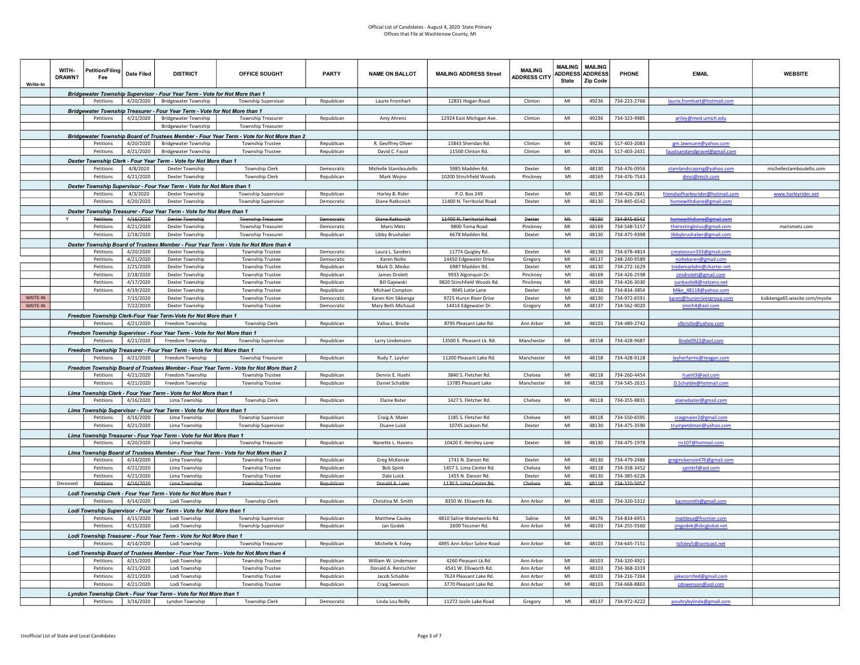| Write-In | WITH-<br>DRAWN? | <b>Petition/Filing</b><br>Fee | <b>Date Filed</b>      | <b>DISTRICT</b>                                                                       | OFFICE SOUGHT                                                                                                 | PARTY                    | <b>NAME ON BALLOT</b>           | <b>MAILING ADDRESS Street</b>                 | <b>MAILING</b><br><b>ADDRESS CITY</b> | <b>MAILING</b><br><b>ADDRESS</b><br><b>State</b> | <b>MAILING</b><br><b>ADDRESS</b><br><b>Zip Code</b> | <b>PHONE</b>                 | <b>EMAIL</b>                                   | <b>WEBSITE</b>                 |
|----------|-----------------|-------------------------------|------------------------|---------------------------------------------------------------------------------------|---------------------------------------------------------------------------------------------------------------|--------------------------|---------------------------------|-----------------------------------------------|---------------------------------------|--------------------------------------------------|-----------------------------------------------------|------------------------------|------------------------------------------------|--------------------------------|
|          |                 |                               |                        | Bridgewater Township Supervisor - Four Year Term - Vote for Not More than 1           |                                                                                                               |                          |                                 |                                               |                                       |                                                  |                                                     |                              |                                                |                                |
|          |                 | Petitions                     | 4/20/2020              | <b>Bridgewater Township</b>                                                           | <b>Township Supervisor</b>                                                                                    | Republican               | Laurie Fromhart                 | 12831 Hogan Road                              | Clinton                               | MI                                               | 49236                                               | 734-223-2766                 | laurie.fromhart@hotmail.com                    |                                |
|          |                 |                               |                        | Bridgewater Township Treasurer - Four Year Term - Vote for Not More than 1            |                                                                                                               |                          |                                 |                                               |                                       |                                                  |                                                     |                              |                                                |                                |
|          |                 | Petitions                     | 4/21/2020              | <b>Bridgewater Township</b>                                                           | <b>Township Treasurer</b>                                                                                     | Republican               | Amy Ahrens                      | 12924 East Michigan Ave.                      | Clinton                               | MI                                               | 49236                                               | 734-323-9985                 | ariley@med.umich.edu                           |                                |
|          |                 |                               |                        | <b>Bridgewater Township</b>                                                           | Township Treasurer                                                                                            |                          |                                 |                                               |                                       |                                                  |                                                     |                              |                                                |                                |
|          |                 |                               |                        |                                                                                       | Bridgewater Township Board of Trustees Member - Four Year Term - Vote for Not More than 2                     |                          |                                 |                                               |                                       |                                                  |                                                     |                              |                                                |                                |
|          |                 | Petitions                     | 4/20/2020              | <b>Bridgewater Township</b>                                                           | <b>Township Trustee</b>                                                                                       | Republican               | R. Geoffrey Oliver              | 15843 Sheridan Rd.                            | Clinton                               | MI                                               | 49236                                               | 517-403-2083                 | gm.lawncare@yahoo.com                          |                                |
|          |                 | Petitions                     | 4/21/2020              | <b>Bridgewater Township</b>                                                           | <b>Township Trustee</b>                                                                                       | Republican               | David C. Faust                  | 11500 Clinton Rd.                             | Clinton                               | MI                                               | 49236                                               | 517-403-2431                 | faustsandandgravel@gmail.com                   |                                |
|          |                 |                               |                        | Dexter Township Clerk - Four Year Term - Vote for Not More than 1                     |                                                                                                               |                          |                                 |                                               |                                       |                                                  |                                                     |                              |                                                |                                |
|          |                 | Petitions                     | 4/8/2020               | Dexter Township                                                                       | Township Clerk                                                                                                | Democratic               | Michelle Stamboulellis          | 5985 Madden Rd.                               | Dexter                                | MI                                               | 48130                                               | 734-476-0956                 | stamlandscaping@yahoo.com                      | michellestamboulellis.com      |
|          |                 | Petitions                     | 4/21/2020              | Dexter Township                                                                       | <b>Township Clerk</b>                                                                                         | Republican               | Mark Woino                      | 10200 Stinchfield Woods                       | Pinckney                              | MI                                               | 48169                                               | 734-476-7543                 | dmsi@mich.com                                  |                                |
|          |                 |                               |                        | Dexter Township Supervisor - Four Year Term - Vote for Not More than 1                |                                                                                                               |                          |                                 |                                               |                                       |                                                  |                                                     |                              |                                                |                                |
|          |                 | Petitions                     | 4/3/2020               | Dexter Township                                                                       | <b>Township Supervisor</b>                                                                                    | Republican               | Harley B. Rider                 | P.O. Box 249                                  | Dexter                                | $\mathsf{MI}$                                    | 48130                                               | 734-426-2841                 | friendsofharleyrider@hotmail.com               | www.harleyrider.net            |
|          |                 | Petitions                     | 4/20/2020              | Dexter Township                                                                       | Township Supervisor                                                                                           | Democratic               | Diane Ratkovich                 | 11400 N. Territorial Road                     | Dexter                                | MI                                               | 48130                                               | 734-845-6542                 | nomewithdiane@gmail.com                        |                                |
|          |                 |                               |                        | Dexter Township Treasurer - Four Year Term - Vote for Not More than 1                 |                                                                                                               |                          |                                 |                                               |                                       |                                                  |                                                     |                              |                                                |                                |
|          |                 | Petitions                     | 4/16/2020              | Devter Townshir                                                                       | <b>Township Treasurer</b>                                                                                     | Democratic               | Diane Ratkovich                 | 11400 N. Territorial Road                     | Dexter                                | M                                                | 48130                                               | 734-845-6542                 | homewithdiane@gmail.com                        |                                |
|          |                 | Petitions                     | 4/21/2020              | <b>Dexter Township</b>                                                                | <b>Township Treasurer</b>                                                                                     | Democratic               | Maris Metz                      | 9800 Toma Road                                | Pinckney                              | MI                                               | 48169                                               | 734-548-5157                 | therestinglotus@gmail.com                      | marismetz.com                  |
|          |                 | Petitions                     | 2/18/2020              | Dexter Township                                                                       | <b>Township Treasurer</b>                                                                                     | Republican               | Libby Brushaber                 | 6678 Madden Rd.                               | Dexter                                | MI                                               | 48130                                               | 734-475-9398                 | ibbybrushaber@gmail.com                        |                                |
|          |                 |                               |                        |                                                                                       | Dexter Township Board of Trustees Member - Four Year Term - Vote for Not More than 4                          |                          |                                 |                                               |                                       | MI                                               |                                                     |                              |                                                |                                |
|          |                 | Petitions<br>Petitions        | 4/20/2020<br>4/21/2020 | Dexter Township<br>Dexter Township                                                    | <b>Township Trustee</b><br><b>Township Trustee</b>                                                            | Democratic<br>Democratic | Laura L. Sanders<br>Karen Nolte | 11774 Quigley Rd.<br>14450 Edgewater Drive    | Dexter                                | MI                                               | 48130<br>48137                                      | 734-678-4814<br>248-240-9589 | createcoun333@gmail.com<br>oltekaren@gmail.com |                                |
|          |                 | Petitions                     | 2/25/2020              | Dexter Township                                                                       | <b>Township Trustee</b>                                                                                       | Republican               | Mark D. Mesko                   | 6987 Madden Rd.                               | Gregory<br>Dexter                     | MI                                               | 48130                                               | 734-272-1629                 | trademarkdm@charter.net                        |                                |
|          |                 | Petitions                     | 2/18/2020              | Dexter Township                                                                       | Township Trustee                                                                                              | Republican               | James Drolett                   | 9933 Algonquin Dr.                            | Pinckney                              | MI                                               | 48169                                               | 734-426-2598                 | jimdrolett@gmail.com                           |                                |
|          |                 | Petitions                     | 4/17/2020              | <b>Dexter Township</b>                                                                | <b>Township Trustee</b>                                                                                       | Republican               | <b>Bill Gaiewski</b>            | 9820 Stinchfield Woods Rd.                    | Pincknev                              | MI                                               | 48169                                               | 734-426-3030                 | sunkastle8@netzero.net                         |                                |
|          |                 | Petitions                     | 4/19/2020              | Dexter Township                                                                       | <b>Township Trustee</b>                                                                                       | Republican               | Michael Compton                 | 9045 Lotie Lane                               | Dexter                                | MI                                               | 48130                                               | 734-834-3854                 | Mike_48118@yahoo.com                           |                                |
| WRITE-IN |                 |                               | 7/15/2020              | Dexter Township                                                                       | <b>Township Trustee</b>                                                                                       | Democratic               | Karen Kim Sikkenga              | 9725 Huron River Drive                        | Dexter                                | M                                                | 48130                                               | 734-972-6591                 | karen@huronrivergroup.com                      | ksikkenga65.wixsite.com/mysite |
| WRITE-IN |                 |                               | 7/22/2020              | Dexter Township                                                                       | <b>Township Trustee</b>                                                                                       | Democratic               | Mary Beth Michaud               | 14414 Edgewater Dr.                           | Gregory                               | MI                                               | 48137                                               | 734-562-9020                 | jmich4@aol.com                                 |                                |
|          |                 |                               |                        | Freedom Township Clerk-Four Year Term-Vote for Not More than 1                        |                                                                                                               |                          |                                 |                                               |                                       |                                                  |                                                     |                              |                                                |                                |
|          |                 | Petitions                     | 4/21/2020              | Freedom Township                                                                      | <b>Township Clerk</b>                                                                                         | Republican               | Valisa L. Bristle               | 8795 Pleasant Lake Rd.                        | Ann Arbor                             | MI                                               | 48103                                               | 734-489-2742                 | vlbristle@yahoo.com                            |                                |
|          |                 |                               |                        | Freedom Township Supervisor - Four Year Term - Vote for Not More than 1               |                                                                                                               |                          |                                 |                                               |                                       |                                                  |                                                     |                              |                                                |                                |
|          |                 | Petitions                     | 4/21/2020              | Freedom Township                                                                      | <b>Township Supervisor</b>                                                                                    | Republican               | Larry Lindemann                 | 13500 E. Pleasant Lk. Rd.                     | Manchester                            | MI                                               | 48158                                               | 734-428-9687                 | linde0922@aol.com                              |                                |
|          |                 |                               |                        | Freedom Township Treasurer - Four Year Term - Vote for Not More than 1                |                                                                                                               |                          |                                 |                                               |                                       |                                                  |                                                     |                              |                                                |                                |
|          |                 | Petitions                     | 4/21/2020              | Freedom Township                                                                      | Township Treasurer                                                                                            | Republican               | Rudy T. Layher                  | 11200 Pleasant Lake Rd.                       | Manchester                            | MI                                               | 48158                                               | 734-428-9128                 | layherfarms@reagan.com                         |                                |
|          |                 |                               |                        |                                                                                       | Freedom Township Board of Trustees Member - Four Year Term - Vote for Not More than 2                         |                          |                                 |                                               |                                       |                                                  |                                                     |                              |                                                |                                |
|          |                 | Petitions                     | 4/21/2020              | Freedom Township                                                                      | <b>Township Trustee</b>                                                                                       | Republican               | Dennis E. Huehl                 | 3840 S. Fletcher Rd.                          | Chelsea                               | MI                                               | 48118                                               | 734-260-4454                 | huehl3@aol.com                                 |                                |
|          |                 | Petitions                     | 4/21/2020              | Freedom Township                                                                      | <b>Township Trustee</b>                                                                                       | Republican               | Daniel Schaible                 | 13785 Pleasant Lake                           | Manchester                            | MI                                               | 48158                                               | 734-545-2615                 | D.Schaible@hotmail.com                         |                                |
|          |                 |                               |                        | Lima Township Clerk - Four Year Term - Vote for Not More than 1                       |                                                                                                               |                          |                                 |                                               |                                       |                                                  |                                                     |                              |                                                |                                |
|          |                 | Petitions                     | 4/16/2020              | Lima Township                                                                         | <b>Township Clerk</b>                                                                                         | Republican               | <b>Elaine Bater</b>             | 1427 S. Fletcher Rd.                          | Chelsea                               | MI                                               | 48118                                               | 734-355-8831                 | elainebater@gmail.com                          |                                |
|          |                 |                               |                        | Lima Township Supervisor - Four Year Term - Vote for Not More than 1                  |                                                                                                               |                          |                                 |                                               |                                       |                                                  |                                                     |                              |                                                |                                |
|          |                 | Petitions                     | 4/16/2020              | Lima Township                                                                         | <b>Township Supervisor</b>                                                                                    | Republican               | Craig A. Maier                  | 1185 S. Fletcher Rd.                          | Chelsea                               | MI                                               | 48118                                               | 734-550-6595                 | craigmaier2@gmail.com                          |                                |
|          |                 | Petitions                     | 4/21/2020              | Lima Township                                                                         | Township Supervisor                                                                                           | Republican               | Duane Luick                     | 10745 Jackson Rd.                             | Dexter                                | MI                                               | 48130                                               | 734-475-3590                 | trumpetdman@vahoo.com                          |                                |
|          |                 |                               |                        | Lima Township Treasurer - Four Year Term - Vote for Not More than 1                   |                                                                                                               |                          |                                 |                                               |                                       |                                                  |                                                     |                              |                                                |                                |
|          |                 | Petitions                     | 4/20/2020              | Lima Township                                                                         | <b>Township Treasurer</b>                                                                                     | Republican               | Nanette L. Havens               | 10420 E. Hershey Lane                         | Dexter                                | MI                                               | 48130                                               | 734-475-1978                 | irs107@hotmail.com                             |                                |
|          |                 |                               |                        |                                                                                       | Lima Township Board of Trustees Member - Four Year Term - Vote for Not More than 2                            |                          |                                 |                                               |                                       |                                                  |                                                     |                              |                                                |                                |
|          |                 | Petitions                     | 4/14/2020              | Lima Township                                                                         | <b>Township Trustee</b>                                                                                       | Republican               | <b>Greg McKenzie</b>            | 1741 N. Dancer Rd.                            | Dexter                                | MI                                               | 48130                                               | 734-479-2486                 | gregmckenzie476@gmail.com                      |                                |
|          |                 | Petitions<br>Petitions        | 4/21/2020<br>4/21/2020 | Lima Township<br>Lima Township                                                        | <b>Township Trustee</b><br><b>Township Trustee</b>                                                            | Republican<br>Republican | <b>Bob Spink</b><br>Dale Luick  | 1457 S. Lima Center Rd.<br>1455 N. Dancer Rd. | Chelsea<br>Dexter                     | MI<br>MI                                         | 48118<br>48130                                      | 734-358-3452<br>734-385-6226 | spinkrf@aol.com                                |                                |
|          | Deceased        | <b>Dotitions</b>              | 4/16/2020              | Lima Township                                                                         | <b>Township Trustee</b>                                                                                       | Republican               | Donald A. Laier                 | 1130 S. Lima Center Rd.                       | Chelsea                               | M                                                | 48118                                               | 734-320-5057                 |                                                |                                |
|          |                 |                               |                        |                                                                                       |                                                                                                               |                          |                                 |                                               |                                       |                                                  |                                                     |                              |                                                |                                |
|          |                 | Petitions                     | 4/14/2020              | Lodi Township Clerk - Four Year Term - Vote for Not More than 1<br>Lodi Township      | <b>Township Clerk</b>                                                                                         | Republican               | Christina M. Smith              | 8350 W. Ellsworth Rd.                         | Ann Arbor                             | MI                                               | 48103                                               | 734-320-5312                 | kacmsmith@gmail.com                            |                                |
|          |                 |                               |                        |                                                                                       |                                                                                                               |                          |                                 |                                               |                                       |                                                  |                                                     |                              |                                                |                                |
|          |                 | Petitions                     | 4/15/2020              | Lodi Township Supervisor - Four Year Term - Vote for Not More than 1<br>Lodi Township | <b>Township Supervisor</b>                                                                                    | Republican               | Matthew Cauley                  | 4810 Saline Waterworks Rd                     | Saline                                | MI                                               | 48176                                               | 734-834-6953                 | mattlesa@frontier.com                          |                                |
|          |                 | Petitions                     | 4/15/2020              | Lodi Township                                                                         | Township Supervisor                                                                                           | Republican               | Jan Godek                       | 2600 Tessmer Rd.                              | Ann Arbor                             | MI                                               | 48103                                               | 734-255-5560                 | mgodek@sbcglobal.net                           |                                |
|          |                 |                               |                        |                                                                                       |                                                                                                               |                          |                                 |                                               |                                       |                                                  |                                                     |                              |                                                |                                |
|          |                 | Petitions                     | 4/14/2020              | Lodi Township Treasurer - Four Year Term - Vote for Not More than 1<br>Lodi Township  | <b>Township Treasurer</b>                                                                                     | Republican               | Michelle K. Foley               | 4895 Ann Arbor Saline Road                    | Ann Arbor                             | MI                                               | 48103                                               | 734-645-7151                 | tsfoley5@comcast.net                           |                                |
|          |                 |                               |                        |                                                                                       |                                                                                                               |                          |                                 |                                               |                                       |                                                  |                                                     |                              |                                                |                                |
|          |                 | Petitions                     | 4/15/2020              | Lodi Township                                                                         | Lodi Township Board of Trustees Member - Four Year Term - Vote for Not More than 4<br><b>Township Trustee</b> | Republican               | William W. Lindemann            | 4260 Pleasant Lk.Rd.                          | Ann Arbor                             | MI                                               | 48103                                               | 734-320-4921                 |                                                |                                |
|          |                 | Petitions                     | 4/21/2020              | Lodi Township                                                                         | <b>Township Trustee</b>                                                                                       | Republican               | Donald A. Rentschler            | 4541 W. Ellsworth Rd.                         | Ann Arbor                             | MI                                               | 48103                                               | 734-368-3319                 |                                                |                                |
|          |                 | Petitions                     | 4/21/2020              | Lodi Township                                                                         | <b>Township Trustee</b>                                                                                       | Republican               | Jacob Schaible                  | 7624 Pleasant Lake Rd.                        | Ann Arbor                             | MI                                               | 48103                                               | 734-216-7264                 | akecornfed@gmail.com                           |                                |
|          |                 | Petitions                     | 4/21/2020              | Lodi Township                                                                         | <b>Township Trustee</b>                                                                                       | Republican               | Craig Swenson                   | 3770 Pleasant Lake Rd.                        | Ann Arbor                             | MI                                               | 48103                                               | 734-668-8863                 | cdswenson@aol.com                              |                                |
|          |                 |                               |                        | Lyndon Township Clerk - Four Year Term - Vote for Not More than 1                     |                                                                                                               |                          |                                 |                                               |                                       |                                                  |                                                     |                              |                                                |                                |
|          |                 | Petitions                     | 3/16/2020              | <b>Lyndon Township</b>                                                                | <b>Township Clerk</b>                                                                                         | Democratic               | Linda Lou Reilly                | 11272 Joslin Lake Road                        | Gregory                               | MI                                               | 48137                                               | 734-972-4222                 | poultry bylinda@gmail.com                      |                                |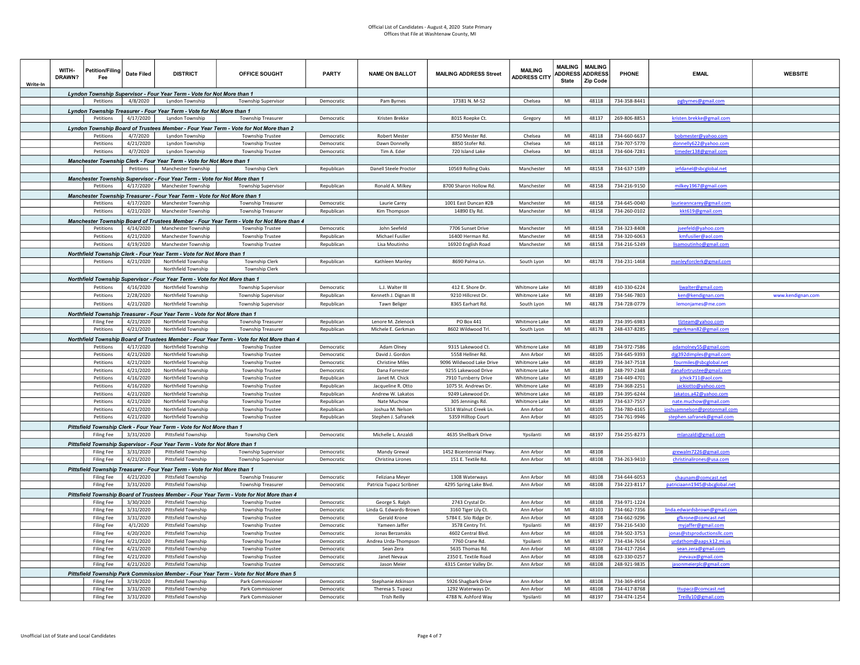## Official List of Candidates - August 4, 2020 State Primary Offices that File at Washtenaw County, MI

| Write-In | WITH-<br>DRAWN? | Petition/Filing<br>Fee | <b>Date Filed</b>      | <b>DISTRICT</b>                                                            | <b>OFFICE SOUGHT</b>                                                                     | <b>PARTY</b>             | <b>NAME ON BALLOT</b>            | <b>MAILING ADDRESS Street</b>         | <b>MAILING</b><br><b>ADDRESS CITY</b> | <b>MAILING</b><br><b>State</b> | <b>MAILING</b><br><b>ADDRESS ADDRESS</b><br>Zip Code | PHONE                        | <b>EMAIL</b>                                   | <b>WEBSITE</b>    |
|----------|-----------------|------------------------|------------------------|----------------------------------------------------------------------------|------------------------------------------------------------------------------------------|--------------------------|----------------------------------|---------------------------------------|---------------------------------------|--------------------------------|------------------------------------------------------|------------------------------|------------------------------------------------|-------------------|
|          |                 |                        |                        | Lyndon Township Supervisor - Four Year Term - Vote for Not More than 1     |                                                                                          |                          |                                  |                                       |                                       |                                |                                                      |                              |                                                |                   |
|          |                 | Petitions              | 4/8/2020               | Lyndon Township                                                            | Township Supervisor                                                                      | Democratic               | Pam Byrnes                       | 17381 N. M-52                         | Chelsea                               | MI                             | 48118                                                | 734-358-8441                 | pgbyrnes@gmail.com                             |                   |
|          |                 |                        |                        | Lyndon Township Treasurer - Four Year Term - Vote for Not More than 1      |                                                                                          |                          |                                  |                                       |                                       |                                |                                                      |                              |                                                |                   |
|          |                 | Petitions              | 4/17/2020              | Lyndon Township                                                            | <b>Township Treasurer</b>                                                                | Democratic               | Kristen Brekke                   | 8015 Roenke Ct.                       | Gregory                               | MI                             | 48137                                                | 269-806-8853                 | kristen.brekke@gmail.com                       |                   |
|          |                 |                        |                        |                                                                            | Lyndon Township Board of Trustees Member - Four Year Term - Vote for Not More than 2     |                          |                                  |                                       |                                       |                                |                                                      |                              |                                                |                   |
|          |                 | Petitions              | 4/7/2020               | Lyndon Township                                                            | <b>Township Trustee</b>                                                                  | Democratic               | <b>Robert Mester</b>             | 8750 Mester Rd.                       | Chelsea                               | MI                             | 48118                                                | 734-660-6637                 | <u>bobmester@yahoo.com</u>                     |                   |
|          |                 | Petitions              | 4/21/2020              | <b>Lyndon Township</b>                                                     | <b>Township Trustee</b>                                                                  | Democratic               | Dawn Donnelly                    | 8850 Stofer Rd.                       | Chelsea                               | MI                             | 48118                                                | 734-707-5770                 | donnelly622@yahoo.com                          |                   |
|          |                 | Petitions              | 4/7/2020               | Lyndon Township                                                            | <b>Township Trustee</b>                                                                  | Democratic               | Tim A. Eder                      | 720 Island Lake                       | Chelsea                               | MI                             | 48118                                                | 734-604-7281                 | timeder138@gmail.com                           |                   |
|          |                 |                        |                        | Manchester Township Clerk - Four Year Term - Vote for Not More than 1      |                                                                                          |                          |                                  |                                       |                                       |                                |                                                      |                              |                                                |                   |
|          |                 |                        | Petitions              | Manchester Township                                                        | <b>Township Clerk</b>                                                                    | Republican               | Danell Steele Proctor            | 10569 Rolling Oaks                    | Manchester                            | MI                             | 48158                                                | 734-637-1589                 | jefdanel@sbcglobal.net                         |                   |
|          |                 |                        |                        | Manchester Township Supervisor - Four Year Term - Vote for Not More than 1 |                                                                                          |                          |                                  |                                       |                                       |                                |                                                      |                              |                                                |                   |
|          |                 | Petitions              | 4/17/2020              | Manchester Township                                                        | Township Supervisor                                                                      | Republican               | Ronald A. Milkey                 | 8700 Sharon Hollow Rd.                | Manchester                            | MI                             | 48158                                                | 734-216-9150                 | milkey1967@gmail.com                           |                   |
|          |                 |                        |                        | Manchester Township Treasurer - Four Year Term - Vote for Not More than 1  |                                                                                          |                          |                                  |                                       |                                       |                                |                                                      |                              |                                                |                   |
|          |                 | Petitions              | 4/17/2020              | Manchester Township                                                        | <b>Township Treasurer</b>                                                                | Democratic               | Laurie Carey                     | 1001 East Duncan #2B                  | Manchester                            | MI                             | 48158                                                | 734-645-0040                 | laurieanncarey@gmail.com                       |                   |
|          |                 | Petitions              | 4/21/2020              | Manchester Township                                                        | <b>Township Treasurer</b>                                                                | Republican               | Kim Thompson                     | 14890 Ely Rd.                         | Manchester                            | MI                             | 48158                                                | 734-260-0102                 | kkt619@gmail.com                               |                   |
|          |                 |                        |                        |                                                                            | Manchester Township Board of Trustees Member - Four Year Term - Vote for Not More than 4 |                          |                                  |                                       |                                       |                                |                                                      |                              |                                                |                   |
|          |                 | Petitions              | 4/14/2020              | <b>Manchester Township</b>                                                 | <b>Township Trustee</b>                                                                  | Democratic               | John Seefeld                     | 7706 Sunset Drive                     | Manchester                            | MI                             | 48158                                                | 734-323-8408                 | jseefeld@yahoo.com                             |                   |
|          |                 | Petitions              | 4/21/2020              | Manchester Township                                                        | <b>Township Trustee</b>                                                                  | Republican               | Michael Fusilier                 | 16400 Herman Rd.                      | Manchester                            | MI                             | 48158                                                | 734-320-6063                 | kmfusilier@aol.com                             |                   |
|          |                 | Petitions              | 4/19/2020              | Manchester Township                                                        | <b>Township Trustee</b>                                                                  | Republican               | Lisa Moutinho                    | 16920 English Road                    | Manchester                            | MI                             | 48158                                                | 734-216-5249                 | lisamoutinho@gmail.com                         |                   |
|          |                 |                        |                        | Northfield Township Clerk - Four Year Term - Vote for Not More than 1      |                                                                                          |                          |                                  |                                       |                                       |                                |                                                      |                              |                                                |                   |
|          |                 | Petitions              | 4/21/2020              | Northfield Township                                                        | <b>Township Clerk</b>                                                                    | Republican               | Kathleen Manley                  | 8690 Palma Ln                         | South Lyon                            | MI                             | 48178                                                | 734-231-1468                 | manleyforclerk@gmail.com                       |                   |
|          |                 |                        |                        | Northfield Township                                                        | <b>Township Clerk</b>                                                                    |                          |                                  |                                       |                                       |                                |                                                      |                              |                                                |                   |
|          |                 |                        |                        | Northfield Township Supervisor - Four Year Term - Vote for Not More than 1 |                                                                                          |                          |                                  |                                       |                                       |                                |                                                      |                              |                                                |                   |
|          |                 | Petitions              | 4/16/2020              | Northfield Township                                                        | Township Supervisor                                                                      | Democratio               | L.J. Walter III                  | 412 E. Shore Dr.                      | <b>Whitmore Lake</b>                  | MI                             | 48189                                                | 410-330-6224                 | liwalter@gmail.com                             |                   |
|          |                 | Petitions              | 2/28/2020              | Northfield Township                                                        | <b>Township Supervisor</b>                                                               | Republican               | Kenneth J. Dignan III            | 9210 Hillcrest Dr.                    | Whitmore Lake                         | MI                             | 48189                                                | 734-546-7803                 | ken@kendignan.com                              | www.kendignan.com |
|          |                 | Petitions              | 4/21/2020              | Northfield Township                                                        | <b>Township Supervisor</b>                                                               | Republican               | <b>Tawn Beliger</b>              | 8365 Earhart Rd.                      | South Lyon                            | MI                             | 48178                                                | 734-728-0779                 | lemonjames@me.com                              |                   |
|          |                 |                        |                        | Northfield Township Treasurer - Four Year Term - Vote for Not More than 1  |                                                                                          |                          |                                  |                                       |                                       |                                |                                                      |                              |                                                |                   |
|          |                 | <b>Filing Fee</b>      | 4/21/2020              | Northfield Township                                                        | Township Treasurer                                                                       | Republican               | Lenore M. Zelenock               | PO Box 441                            | Whitmore Lake                         | MI                             | 48189                                                | 734-395-6983                 | tlzteam@yahoo.com                              |                   |
|          |                 | Petitions              | 4/21/2020              | Northfield Township                                                        | <b>Township Treasurer</b>                                                                | Republican               | Michele E. Gerkman               | 8602 Wildwood Trl.                    | South Lvon                            | MI                             | 48178                                                | 248-437-8285                 | mgerkman82@gmail.com                           |                   |
|          |                 |                        |                        |                                                                            | Northfield Township Board of Trustees Member - Four Year Term - Vote for Not More than 4 |                          |                                  |                                       |                                       |                                |                                                      |                              |                                                |                   |
|          |                 | Petitions              | 4/17/2020              | Northfield Township                                                        | <b>Township Trustee</b>                                                                  | Democratic               | Adam Olney                       | 9315 Lakewood Ct.                     | Whitmore Lake                         | MI                             | 48189                                                | 734-972-7586                 | adamolney55@gmail.com                          |                   |
|          |                 | Petitions              | 4/21/2020              | Northfield Township                                                        | <b>Township Trustee</b>                                                                  | Democratio               | David J. Gordon                  | 5558 Hellner Rd.                      | Ann Arbor                             | MI                             | 48105                                                | 734-645-9393                 | dig392dimples@gmail.com                        |                   |
|          |                 | Petitions              | 4/21/2020              | Northfield Township                                                        | <b>Township Trustee</b>                                                                  | Democratic               | <b>Christine Miles</b>           | 9096 Wildwood Lake Drive              | Whitmore Lake                         | MI                             | 48189                                                | 734-347-7518                 | fourmiles@sbcglobal.net                        |                   |
|          |                 | Petitions              | 4/21/2020              | Northfield Township                                                        | <b>Township Trustee</b>                                                                  | Democratic               | Dana Forrester                   | 9255 Lakewood Drive                   | Whitmore Lake                         | MI                             | 48189                                                | 248-797-2348                 | danafortrustee@gmail.com                       |                   |
|          |                 | Petitions              | 4/16/2020              | Northfield Township                                                        | <b>Township Trustee</b>                                                                  | Republican               | Janet M. Chick                   | 7910 Turnberry Drive                  | Whitmore Lake                         | MI                             | 48189                                                | 734-449-4701                 | chick711@aol.com                               |                   |
|          |                 | Petitions              | 4/16/2020              | Northfield Township                                                        | <b>Township Trustee</b>                                                                  | Republican               | Jacqueline R. Otto               | 1075 St. Andrews Dr                   | Whitmore Lake                         | MI                             | 48189                                                | 734-368-2251                 | jackiotto@yahoo.com                            |                   |
|          |                 | Petitions<br>Petitions | 4/21/2020<br>4/21/2020 | Northfield Township<br>Northfield Township                                 | <b>Township Trustee</b><br><b>Township Trustee</b>                                       | Republican<br>Republican | Andrew W. Lakatos<br>Nate Muchow | 9249 Lakewood Dr.<br>305 Jennings Rd. | Whitmore Lake<br>Whitmore Lake        | MI<br>MI                       | 48189<br>48189                                       | 734-395-6244<br>734-637-7557 | lakatos.a42@yahoo.com<br>nate.muchow@gmail.com |                   |
|          |                 | Petitions              | 4/21/2020              | Northfield Township                                                        | <b>Township Trustee</b>                                                                  | Republican               | Joshua M. Nelson                 | 5314 Walnut Creek In                  | Ann Arhor                             | MI                             | 48105                                                | 734-780-4165                 | joshuamnelson@protonmail.com                   |                   |
|          |                 | Petitions              | 4/21/2020              | Northfield Township                                                        | <b>Township Trustee</b>                                                                  | Republican               | Stephen J. Safranek              | 5359 Hilltop Court                    | Ann Arbor                             | MI                             | 48105                                                | 734-761-9946                 | stephen.safranek@gmail.com                     |                   |
|          |                 |                        |                        | Pittsfield Township Clerk - Four Year Term - Vote for Not More than 1      |                                                                                          |                          |                                  |                                       |                                       |                                |                                                      |                              |                                                |                   |
|          |                 | <b>Filing Fee</b>      | 3/31/2020              | Pittsfield Township                                                        | <b>Township Clerk</b>                                                                    | Democratic               | Michelle L. Anzaldi              | 4635 Shellbark Drive                  | Ypsilanti                             | MI                             | 48197                                                | 734-255-8273                 | mlanzaldi@gmail.com                            |                   |
|          |                 |                        |                        | Pittsfield Township Supervisor - Four Year Term - Vote for Not More than 1 |                                                                                          |                          |                                  |                                       |                                       |                                |                                                      |                              |                                                |                   |
|          |                 | <b>Filing Fee</b>      | 3/31/2020              | Pittsfield Township                                                        | Township Supervisor                                                                      | Democratic               | Mandy Grewal                     | 1452 Bicentennial Pkwy.               | Ann Arbor                             | MI                             | 48108                                                |                              | grewalm7226@gmail.com                          |                   |
|          |                 | <b>Filing Fee</b>      | 4/21/2020              | <b>Pittsfield Township</b>                                                 | <b>Township Supervisor</b>                                                               | Democratic               | Christina Lirones                | 151 E. Textile Rd.                    | Ann Arbor                             | MI                             | 48108                                                | 734-263-9410                 | christinalirones@usa.com                       |                   |
|          |                 |                        |                        | Pittsfield Township Treasurer - Four Year Term - Vote for Not More than 1  |                                                                                          |                          |                                  |                                       |                                       |                                |                                                      |                              |                                                |                   |
|          |                 | <b>Filing Fee</b>      | 4/21/2020              | Pittsfield Township                                                        | Township Treasurer                                                                       | Democratic               | Feliziana Meyer                  | 1308 Waterways                        | Ann Arbor                             | MI                             | 48108                                                | 734-644-6053                 | chaunam@comcast.net                            |                   |
|          |                 | <b>Filing Fee</b>      | 3/31/2020              | Pittsfield Township                                                        | <b>Township Treasurer</b>                                                                | Democratic               | Patricia Tupacz Scribner         | 4295 Spring Lake Blvd                 | Ann Arbor                             | MI                             | 48108                                                | 734-223-8117                 | patriciaann1945@sbcglobal.net                  |                   |
|          |                 |                        |                        |                                                                            | Pittsfield Township Board of Trustees Member - Four Year Term - Vote for Not More than 4 |                          |                                  |                                       |                                       |                                |                                                      |                              |                                                |                   |
|          |                 | <b>Filing Fee</b>      | 3/30/2020              | <b>Pittsfield Township</b>                                                 | <b>Township Trustee</b>                                                                  | Democratic               | George S. Ralph                  | 2743 Crystal Dr.                      | Ann Arbor                             | MI                             | 48108                                                | 734-971-1224                 |                                                |                   |
|          |                 | <b>Filing Fee</b>      | 3/31/2020              | Pittsfield Township                                                        | <b>Township Trustee</b>                                                                  | Democratic               | Linda G. Edwards-Brown           | 3160 Tiger Lily Ct.                   | Ann Arbor                             | MI                             | 48103                                                | 734-662-7356                 | linda.edwardsbrown@gmail.com                   |                   |
|          |                 | <b>Filing Fee</b>      | 3/31/2020              | Pittsfield Township                                                        | <b>Township Trustee</b>                                                                  | Democratic               | Gerald Krone                     | 5784 E. Silo Ridge Dr                 | Ann Arbor                             | MI                             | 48108                                                | 734-662-9296                 | gfkrone@comcast.net                            |                   |
|          |                 | <b>Filing Fee</b>      | 4/1/2020               | Pittsfield Township                                                        | <b>Township Trustee</b>                                                                  | Democratic               | Yameen Jaffer                    | 3578 Centry Trl.                      | Ypsilanti                             | MI                             | 48197                                                | 734-216-5430                 | mviaffer@gmail.com                             |                   |
|          |                 | <b>Filing Fee</b>      | 4/20/2020              | Pittsfield Township                                                        | <b>Township Trustee</b>                                                                  | Democratic               | Jonas Berzanskis                 | 4602 Central Blvd                     | Ann Arbor                             | MI                             | 48108                                                | 734-502-3753                 | onas@stsproductionsllc.com                     |                   |
|          |                 | <b>Filing Fee</b>      | 4/21/2020              | Pittsfield Township                                                        | <b>Township Trustee</b>                                                                  | Democratic               | Andrea Urda-Thompson             | 7760 Crane Rd.                        | Ypsilanti                             | MI                             | 48197                                                | 734-434-7654                 | urdathom@aaps.k12.mi.us                        |                   |
|          |                 | <b>Filing Fee</b>      | 4/21/2020              | <b>Pittsfield Township</b>                                                 | <b>Township Trustee</b>                                                                  | Democratic               | Sean Zera                        | 5635 Thomas Rd.                       | Ann Arbor                             | MI                             | 48108                                                | 734-417-7264                 | sean.zera@gmail.com                            |                   |
|          |                 | <b>Filing Fee</b>      | 4/21/2020              | <b>Pittsfield Township</b>                                                 | <b>Township Trustee</b>                                                                  | Democratic               | Janet Nevaux                     | 2350 E. Textile Road                  | Ann Arbor                             | MI                             | 48108                                                | 623-330-0257                 | jnevaux@gmail.com                              |                   |
|          |                 | <b>Filing Fee</b>      | 4/21/2020              | Pittsfield Township                                                        | <b>Township Trustee</b>                                                                  | Democratic               | Jason Meier                      | 4315 Center Valley Dr.                | Ann Arbor                             | MI                             | 48108                                                | 248-921-9835                 | jasonmeierplc@gmail.com                        |                   |
|          |                 |                        |                        |                                                                            | Pittsfield Township Park Commission Member - Four Year Term - Vote for Not More than 5   |                          |                                  |                                       |                                       |                                |                                                      |                              |                                                |                   |
|          |                 | <b>Filing Fee</b>      | 3/19/2020              | <b>Pittsfield Township</b>                                                 | Park Commissioner                                                                        | Democratic               | Stephanie Atkinson               | 5926 Shagbark Drive                   | Ann Arbor                             | MI<br>MI                       | 48108                                                | 734-369-4954                 |                                                |                   |
|          |                 | <b>Filing Fee</b>      | 3/31/2020              | <b>Pittsfield Township</b>                                                 | Park Commissioner                                                                        | Democratic               | Theresa S. Tupacz                | 1292 Waterways Dr.                    | Ann Arbor                             |                                | 48108                                                | 734-417-8768                 | ttupacz@comcast.net                            |                   |
|          |                 | <b>Filing Fee</b>      | 3/31/2020              | Pittsfield Township                                                        | Park Commissioner                                                                        | Democratic               | <b>Trish Reilly</b>              | 4788 N. Ashford Way                   | Ypsilanti                             | MI                             | 48197                                                | 734-474-1254                 | Treilly10@gmail.com                            |                   |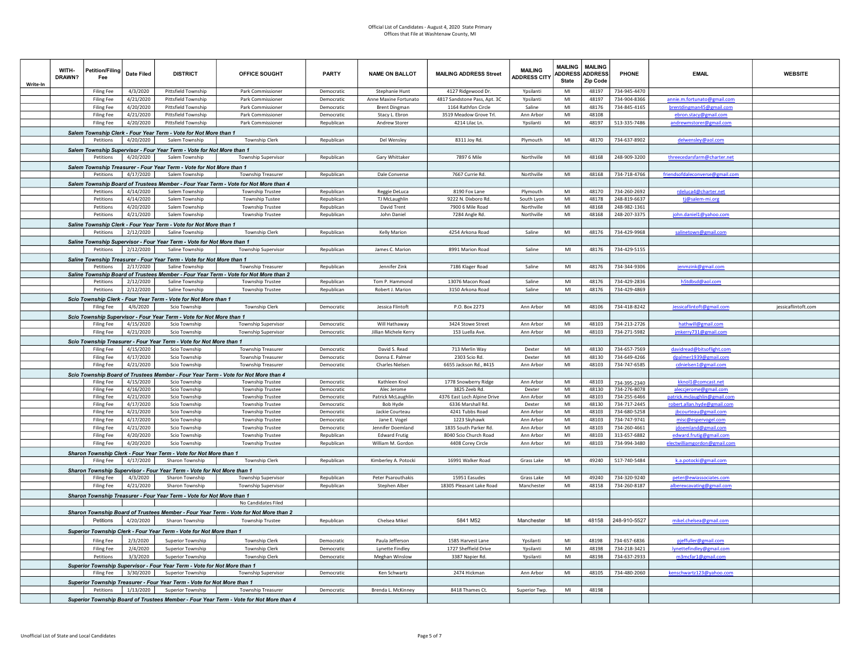| Write-In | WITH-<br>DRAWN? | <b>Petition/Filing</b><br>Fee          | <b>Date Filed</b>      | <b>DISTRICT</b>                                                                           | OFFICE SOUGHT                                                                          | PARTY                    | <b>NAME ON BALLOT</b>               | <b>MAILING ADDRESS Street</b>                | <b>MAILING</b><br><b>ADDRESS CITY</b> | <b>MAILING</b><br><b>ADDRESS</b><br><b>State</b> | <b>MAILING</b><br><b>ADDRESS</b><br><b>Zip Code</b> | PHONE                        | <b>EMAIL</b>                                         | <b>WEBSITE</b>      |
|----------|-----------------|----------------------------------------|------------------------|-------------------------------------------------------------------------------------------|----------------------------------------------------------------------------------------|--------------------------|-------------------------------------|----------------------------------------------|---------------------------------------|--------------------------------------------------|-----------------------------------------------------|------------------------------|------------------------------------------------------|---------------------|
|          |                 | Filing Fee                             | 4/3/2020               | Pittsfield Township                                                                       | Park Commissioner                                                                      | Democratic               | Stephanie Hunt                      | 4127 Ridgewood Dr.                           | Ypsilanti                             | MI                                               | 48197                                               | 734-945-4470                 |                                                      |                     |
|          |                 | <b>Filing Fee</b>                      | 4/21/2020              | Pittsfield Township                                                                       | Park Commissioner                                                                      | Democratic               | Anne Maxine Fortunato               | 4817 Sandstone Pass, Apt. 3C                 | Ynsilanti                             | MI                                               | 48197                                               | 734-904-8366                 | annie.m.fortunato@gmail.com                          |                     |
|          |                 | Filing Fee                             | 4/20/2020              | Pittsfield Township                                                                       | Park Commissioner                                                                      | Democratic               | <b>Brent Dingman</b>                | 1164 Rathfon Circle                          | Saline                                | MI                                               | 48176                                               | 734-845-4165                 | brentdingman45@gmail.com                             |                     |
|          |                 | <b>Filing Fee</b>                      | 4/21/2020              | Pittsfield Township                                                                       | Park Commissioner                                                                      | Democratic               | Stacy L. Ebron                      | 3519 Meadow Grove Trl.                       | Ann Arbor                             | MI                                               | 48108                                               |                              | ebron.stacy@gmail.com                                |                     |
|          |                 | <b>Filing Fee</b>                      | 4/20/2020              | Pittsfield Township                                                                       | Park Commissioner                                                                      | Republican               | <b>Andrew Storer</b>                | 4214 Lilac Ln                                | Ypsilanti                             | MI                                               | 48197                                               | 513-335-7486                 | andrewmstorer@gmail.com                              |                     |
|          |                 |                                        |                        | Salem Township Clerk - Four Year Term - Vote for Not More than 1                          |                                                                                        |                          |                                     |                                              |                                       |                                                  |                                                     |                              |                                                      |                     |
|          |                 | Petitions                              | 4/20/2020              | Salem Township                                                                            | Township Clerk                                                                         | Republican               | Del Wensley                         | 8311 Joy Rd.                                 | Plymouth                              | MI                                               | 48170                                               | 734-637-8902                 | delwensley@aol.com                                   |                     |
|          |                 |                                        |                        | Salem Township Supervisor - Four Year Term - Vote for Not More than 1                     |                                                                                        |                          |                                     |                                              |                                       |                                                  |                                                     |                              |                                                      |                     |
|          |                 | Petitions                              | 4/20/2020              | Salem Township                                                                            | <b>Township Supervisor</b>                                                             | Republican               | Gary Whittaker                      | 7897 6 Mile                                  | Northville                            | MI                                               | 48168                                               | 248-909-3200                 | threecedarsfarm@charter.net                          |                     |
|          |                 |                                        |                        | Salem Township Treasurer - Four Year Term - Vote for Not More than 1                      |                                                                                        |                          |                                     |                                              |                                       |                                                  |                                                     |                              |                                                      |                     |
|          |                 | Petitions                              | 4/17/2020              | Salem Townshin                                                                            | Township Treasurer                                                                     | Republican               | Dale Converse                       | 7667 Currie Rd                               | Northville                            | MI                                               | 48168                                               | 734-718-4766                 | friendsofdaleconverse@gmail.com                      |                     |
|          |                 |                                        |                        |                                                                                           | Salem Township Board of Trustees Member - Four Year Term - Vote for Not More than 4    |                          |                                     |                                              |                                       |                                                  |                                                     |                              |                                                      |                     |
|          |                 | Petitions                              | 4/14/2020              | Salem Township                                                                            | <b>Township Trustee</b>                                                                | Republican               | Reggie DeLuca                       | 8190 Fox Lane                                | Plymouth                              | MI                                               | 48170                                               | 734-260-2692                 | rdeluca4@charter.net                                 |                     |
|          |                 | Petitions<br>Petitions                 | 4/14/2020<br>4/20/2020 | Salem Township<br>Salem Township                                                          | <b>Township Tustee</b><br><b>Township Trustee</b>                                      | Republican<br>Republican | <b>TJ McLaughlin</b><br>David Trent | 9222 N. Dixboro Rd.<br>7900 6 Mile Road      | South Lvon<br>Northville              | MI<br>MI                                         | 48178<br>48168                                      | 248-819-6637<br>248-982-1361 | ti@salem-mi.org                                      |                     |
|          |                 | Petitions                              | 4/21/2020              | Salem Township                                                                            | <b>Township Trustee</b>                                                                | Republican               | John Daniel                         | 7284 Angle Rd.                               | Northville                            | MI                                               | 48168                                               | 248-207-3375                 | ohn.daniel1@yahoo.com                                |                     |
|          |                 |                                        |                        | Saline Township Clerk - Four Year Term - Vote for Not More than 1                         |                                                                                        |                          |                                     |                                              |                                       |                                                  |                                                     |                              |                                                      |                     |
|          |                 | Petitions                              | 2/12/2020              | Saline Township                                                                           | <b>Township Clerk</b>                                                                  | Republican               | Kelly Marion                        | 4254 Arkona Road                             | Saline                                | MI                                               | 48176                                               | 734-429-9968                 | salinetown@gmail.com                                 |                     |
|          |                 |                                        |                        |                                                                                           |                                                                                        |                          |                                     |                                              |                                       |                                                  |                                                     |                              |                                                      |                     |
|          |                 | Petitions                              | 2/12/2020              | Saline Township Supervisor - Four Year Term - Vote for Not More than 1<br>Saline Township | <b>Township Supervisor</b>                                                             | Republican               | James C. Marion                     | 8991 Marion Road                             | Saline                                | MI                                               | 48176                                               | 734-429-5155                 |                                                      |                     |
|          |                 |                                        |                        |                                                                                           |                                                                                        |                          |                                     |                                              |                                       |                                                  |                                                     |                              |                                                      |                     |
|          |                 | Petitions                              | 2/17/2020              | Saline Township Treasurer - Four Year Term - Vote for Not More than 1<br>Saline Township  | Township Treasurer                                                                     | Republican               | Jennifer Zink                       | 7186 Klager Road                             | Saline                                | MI                                               | 48176                                               | 734-344-9306                 | jenmzink@gmail.com                                   |                     |
|          |                 |                                        |                        |                                                                                           | Saline Township Board of Trustees Member - Four Year Term - Vote for Not More than 2   |                          |                                     |                                              |                                       |                                                  |                                                     |                              |                                                      |                     |
|          |                 | Petitions                              | 2/12/2020              | Saline Township                                                                           | <b>Township Trustee</b>                                                                | Republican               | Tom P. Hammond                      | 13076 Macon Road                             | Saline                                | MI                                               | 48176                                               | 734-429-2836                 | h5tdbsd@aol.com                                      |                     |
|          |                 | Petitions                              | 2/12/2020              | Saline Township                                                                           | <b>Township Trustee</b>                                                                | Republican               | Robert J. Marion                    | 3150 Arkona Road                             | Saline                                | MI                                               | 48176                                               | 734-429-4869                 |                                                      |                     |
|          |                 |                                        |                        | Scio Township Clerk - Four Year Term - Vote for Not More than 1                           |                                                                                        |                          |                                     |                                              |                                       |                                                  |                                                     |                              |                                                      |                     |
|          |                 | Filing Fee                             | 4/6/2020               | Scio Township                                                                             | <b>Township Clerk</b>                                                                  | Democratic               | <b>Jessica Flintoft</b>             | P.O. Box 2273                                | Ann Arbor                             | MI                                               | 48106                                               | 734-418-8242                 | Jessicaflintoft@gmail.com                            | iessicaflintoft.com |
|          |                 |                                        |                        | Scio Township Supervisor - Four Year Term - Vote for Not More than 1                      |                                                                                        |                          |                                     |                                              |                                       |                                                  |                                                     |                              |                                                      |                     |
|          |                 | <b>Filing Fee</b>                      | 4/15/2020              | Scio Township                                                                             | Township Supervisor                                                                    | Democratic               | Will Hathaway                       | 3424 Stowe Street                            | Ann Arbor                             | MI                                               | 48103                                               | 734-213-2726                 | hathwill@gmail.com                                   |                     |
|          |                 | Filing Fee                             | 4/21/2020              | Scio Township                                                                             | <b>Township Supervisor</b>                                                             | Democratic               | Jillian Michele Kerry               | 153 Luella Ave                               | Ann Arbor                             | MI                                               | 48103                                               | 734-271-5982                 | jmkerry731@gmail.com                                 |                     |
|          |                 |                                        |                        | Scio Township Treasurer - Four Year Term - Vote for Not More than 1                       |                                                                                        |                          |                                     |                                              |                                       |                                                  |                                                     |                              |                                                      |                     |
|          |                 | <b>Filing Fee</b>                      | 4/15/2020              | Scio Township                                                                             | <b>Township Treasurer</b>                                                              | Democratic               | David S. Read                       | 713 Merlin Way                               | Dexter                                | MI                                               | 48130                                               | 734-657-7569                 | davidread@bitsoflight.com                            |                     |
|          |                 | <b>Filing Fee</b>                      | 4/17/2020              | Scio Township                                                                             | Township Treasurer                                                                     | Democratic               | Donna E. Palmer                     | 2303 Scio Rd.                                | Dexter                                | MI                                               | 48130                                               | 734-649-4266                 | dpalmer1939@gmail.com                                |                     |
|          |                 | Filing Fee                             | 4/21/2020              | Scio Township                                                                             | Township Treasurer                                                                     | Democratic               | <b>Charles Nielsen</b>              | 6655 Jackson Rd., #415                       | Ann Arbor                             | MI                                               | 48103                                               | 734-747-6585                 | cdnielsen1@gmail.com                                 |                     |
|          |                 |                                        |                        |                                                                                           | Scio Township Board of Trustees Member - Four Year Term - Vote for Not More than 4     |                          |                                     |                                              |                                       |                                                  |                                                     |                              |                                                      |                     |
|          |                 | <b>Filing Fee</b>                      | 4/15/2020              | Scio Township                                                                             | <b>Township Trustee</b>                                                                | Democratic               | Kathleen Knol                       | 1778 Snowberry Ridge                         | Ann Arbor                             | $\mathsf{MI}$<br>MI                              | 48103                                               | 734-395-2340                 | kknol1@comcast.net                                   |                     |
|          |                 | <b>Filing Fee</b><br><b>Filing Fee</b> | 4/16/2020<br>4/21/2020 | Scio Township<br>Scio Township                                                            | Township Trustee<br><b>Township Trustee</b>                                            | Democratic<br>Democratic | Alec Jerome<br>Patrick McLaughlin   | 3825 Zeeb Rd.<br>4376 East Loch Alpine Drive | Dexter<br>Ann Arbor                   | MI                                               | 48130<br>48103                                      | 734-276-8078<br>734-255-6466 | aleccierome@gmail.com<br>atrick.mclaughlin@gmail.con |                     |
|          |                 | <b>Filing Fee</b>                      | 4/17/2020              | Scio Township                                                                             | <b>Township Trustee</b>                                                                | Democratic               | <b>Bob Hyde</b>                     | 6336 Marshall Rd                             | Dexter                                | MI                                               | 48130                                               | 734-717-2445                 | robert.allan.hyde@gmail.com                          |                     |
|          |                 | <b>Filing Fee</b>                      | 4/21/2020              | Scio Township                                                                             | <b>Township Trustee</b>                                                                | Democratic               | Jackie Courteau                     | 4241 Tubbs Road                              | Ann Arbor                             | MI                                               | 48103                                               | 734-680-5258                 | jbcourteau@gmail.com                                 |                     |
|          |                 | <b>Filing Fee</b>                      | 4/17/2020              | Scio Township                                                                             | Township Trustee                                                                       | Democratic               | Jane E. Vogel                       | 1223 Skyhawk                                 | Ann Arbor                             | MI                                               | 48103                                               | 734-747-9741                 | misc@espervogel.com                                  |                     |
|          |                 | <b>Filing Fee</b>                      | 4/21/2020              | Scio Township                                                                             | <b>Township Trustee</b>                                                                | Democratic               | Jennifer Doemland                   | 1835 South Parker Rd                         | Ann Arbor                             | MI                                               | 48103                                               | 734-260-4661                 | idoemland@gmail.com                                  |                     |
|          |                 | <b>Filing Fee</b>                      | 4/20/2020              | Scio Township                                                                             | Township Trustee                                                                       | Republican               | <b>Edward Frutig</b>                | 8040 Scio Church Road                        | Ann Arbor                             | MI                                               | 48103                                               | 313-657-6882                 | edward.frutig@gmail.com                              |                     |
|          |                 | <b>Filing Fee</b>                      | 4/20/2020              | Scio Township                                                                             | Township Trustee                                                                       | Republican               | William M. Gordon                   | 4408 Corey Circle                            | Ann Arbor                             | MI                                               | 48103                                               | 734-994-3480                 | electwilliamgordon@gmail.com                         |                     |
|          |                 |                                        |                        | Sharon Township Clerk - Four Year Term - Vote for Not More than 1                         |                                                                                        |                          |                                     |                                              |                                       |                                                  |                                                     |                              |                                                      |                     |
|          |                 | <b>Filing Fee</b>                      | 4/17/2020              | Sharon Township                                                                           | Township Clerk                                                                         | Republican               | Kimberley A. Potocki                | 16991 Walker Road                            | Grass Lake                            | $\mathsf{MI}$                                    | 49240                                               | 517-740-5484                 | k.a.potocki@gmail.com                                |                     |
|          |                 |                                        |                        | Sharon Township Supervisor - Four Year Term - Vote for Not More than 1                    |                                                                                        |                          |                                     |                                              |                                       |                                                  |                                                     |                              |                                                      |                     |
|          |                 | <b>Filing Fee</b>                      | 4/3/2020               | Sharon Township                                                                           | <b>Township Supervisor</b>                                                             | Republican               | <b>Peter Psarouthakis</b>           | 15951 Easudes                                | Grass Lake                            | MI                                               | 49240                                               | 734-320-9240                 | peter@ewiassociates.com                              |                     |
|          |                 | <b>Filing Fee</b>                      | 4/21/2020              | Sharon Township                                                                           | Township Supervisor                                                                    | Republican               | Stephen Alber                       | 18305 Pleasant Lake Road                     | Manchester                            | MI                                               | 48158                                               | 734-260-8187                 | alberexcavating@gmail.com                            |                     |
|          |                 |                                        |                        | Sharon Township Treasurer - Four Year Term - Vote for Not More than 1                     | No Candidates Filed                                                                    |                          |                                     |                                              |                                       |                                                  |                                                     |                              |                                                      |                     |
|          |                 |                                        |                        |                                                                                           |                                                                                        |                          |                                     |                                              |                                       |                                                  |                                                     |                              |                                                      |                     |
|          |                 |                                        |                        |                                                                                           | Sharon Township Board of Trustees Member - Four Year Term - Vote for Not More than 2   |                          |                                     |                                              |                                       |                                                  |                                                     |                              |                                                      |                     |
|          |                 | Petitions                              | 4/20/2020              | Sharon Township                                                                           | <b>Township Trustee</b>                                                                | Republican               | Chelsea Mikel                       | 5841 M52                                     | Manchester                            | MI                                               | 48158                                               | 248-910-5527                 | mikel.chelsea@gmail.com                              |                     |
|          |                 |                                        |                        | Superior Township Clerk - Four Year Term - Vote for Not More than 1                       |                                                                                        |                          |                                     |                                              |                                       |                                                  |                                                     |                              |                                                      |                     |
|          |                 | <b>Filing Fee</b>                      | 2/3/2020               | Superior Township                                                                         | <b>Township Clerk</b>                                                                  | Democratic               | Paula Jefferson                     | 1585 Harvest Lane                            | Ypsilanti                             | MI                                               | 48198                                               | 734-657-6836                 | pjeffuller@gmail.com                                 |                     |
|          |                 | <b>Filing Fee</b>                      | 2/4/2020               | Superior Township                                                                         | <b>Township Clerk</b>                                                                  | Democratic               | Lynette Findley                     | 1727 Sheffield Drive                         | Ypsilanti                             | MI                                               | 48198                                               | 734-218-3421                 | wnettefindley@gmail.com                              |                     |
|          |                 | Petitions                              | 3/3/2020               | Superior Township                                                                         | Township Clerk                                                                         | Democratic               | Meghan Winslow                      | 3387 Napier Rd                               | Ypsilanti                             | MI                                               | 48198                                               | 734-637-2933                 | m3mcfar1@gmail.com                                   |                     |
|          |                 |                                        |                        | Superior Township Supervisor - Four Year Term - Vote for Not More than 1                  |                                                                                        |                          |                                     |                                              |                                       |                                                  |                                                     |                              |                                                      |                     |
|          |                 | Filing Fee                             | 3/30/2020              | Superior Township                                                                         | Township Supervisor                                                                    | Democratic               | Ken Schwartz                        | 2474 Hickman                                 | Ann Arbor                             | MI                                               | 48105                                               | 734-480-2060                 | kenschwartz123@yahoo.com                             |                     |
|          |                 |                                        |                        | Superior Township Treasurer - Four Year Term - Vote for Not More than 1                   |                                                                                        |                          |                                     |                                              |                                       |                                                  |                                                     |                              |                                                      |                     |
|          |                 | Petitions                              | 1/13/2020              | Superior Township                                                                         | Township Treasurer                                                                     | Democratic               | Brenda L. McKinney                  | 8418 Thames Ct.                              | Superior Twp.                         | MI                                               | 48198                                               |                              |                                                      |                     |
|          |                 |                                        |                        |                                                                                           | Superior Township Board of Trustees Member - Four Year Term - Vote for Not More than 4 |                          |                                     |                                              |                                       |                                                  |                                                     |                              |                                                      |                     |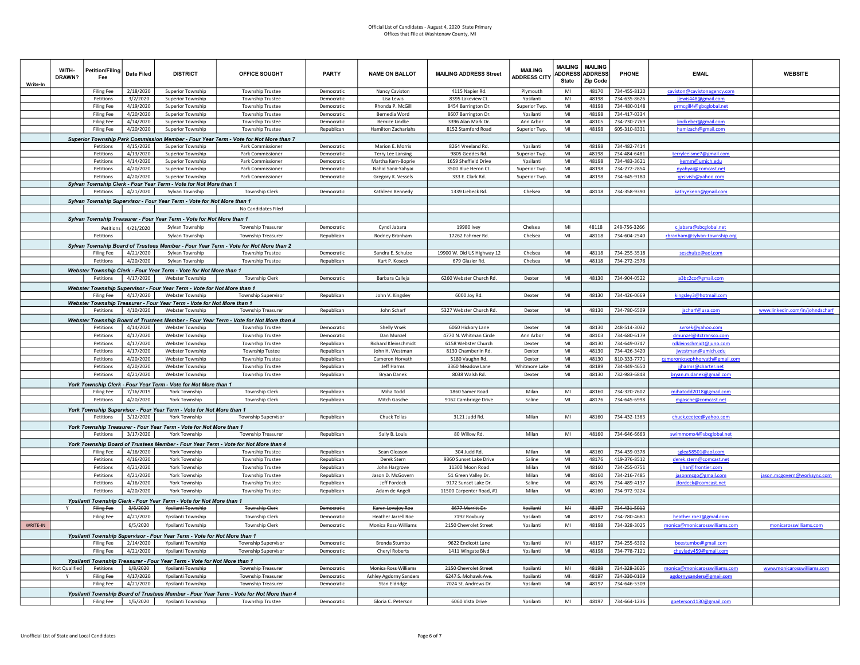| Write-In | WITH-<br>DRAWN? | <b>Petition/Filing</b><br>Fee | <b>Date Filed</b>      | <b>DISTRICT</b>                                                                             | OFFICE SOUGHT                                                                           | <b>PARTY</b>             | <b>NAME ON BALLOT</b>                   | <b>MAILING ADDRESS Street</b>       | <b>MAILING</b><br><b>ADDRESS CITY</b> | <b>MAILING</b><br><b>ADDRESS</b><br><b>State</b> | <b>MAILING</b><br><b>ADDRESS</b><br><b>Zip Code</b> | PHONE                        | <b>EMAIL</b>                   | <b>WEBSITE</b>                  |
|----------|-----------------|-------------------------------|------------------------|---------------------------------------------------------------------------------------------|-----------------------------------------------------------------------------------------|--------------------------|-----------------------------------------|-------------------------------------|---------------------------------------|--------------------------------------------------|-----------------------------------------------------|------------------------------|--------------------------------|---------------------------------|
|          |                 | <b>Filing Fee</b>             | 2/18/2020              | Superior Township                                                                           | <b>Township Trustee</b>                                                                 | Democratic               | Nancy Caviston                          | 4115 Napier Rd.                     | Plymouth                              | MI                                               | 48170                                               | 734-455-8120                 | caviston@cavistonagency.com    |                                 |
|          |                 | Petitions                     | 3/2/2020               | Superior Township                                                                           | <b>Township Trustee</b>                                                                 | Democratic               | Lisa Lewis                              | 8395 Lakeview Ct.                   | Ypsilanti                             | MI                                               | 48198                                               | 734-635-8626                 | llewis448@gmail.com            |                                 |
|          |                 | <b>Filing Fee</b>             | 4/19/2020              | Superior Township                                                                           | <b>Township Trustee</b>                                                                 | Democratic               | Rhonda P. McGil                         | 8454 Barrington Dr.                 | Superior Twp.                         | MI                                               | 48198                                               | 734-480-0148                 | prmcgill4@gbcglobal.net        |                                 |
|          |                 | <b>Filing Fee</b>             | 4/20/2020              | <b>Superior Township</b>                                                                    | <b>Township Trustee</b>                                                                 | Democratic               | Bernedia Word                           | 8607 Barrington Dr.                 | Ypsilanti                             | MI                                               | 48198                                               | 734-417-0334                 |                                |                                 |
|          |                 | <b>Filing Fee</b>             | 4/14/2020              | <b>Superior Township</b>                                                                    | Township Trustee                                                                        | Democratic               | <b>Bernice Lindke</b>                   | 3396 Alan Mark Dr.                  | Ann Arbor                             | MI<br>MI                                         | 48105                                               | 734-730-7769                 | lindkeber@gmail.com            |                                 |
|          |                 | Filing Fee                    | 4/20/2020              | Superior Township                                                                           | <b>Township Trustee</b>                                                                 | Republican               | <b>Hamilton Zachariahs</b>              | 8152 Stamford Road                  | Superior Twp.                         |                                                  | 48198                                               | 605-310-8331                 | hamizach@gmail.com             |                                 |
|          |                 |                               |                        |                                                                                             | Superior Township Park Commission Member - Four Year Term - Vote for Not More than 7    |                          |                                         |                                     |                                       |                                                  |                                                     |                              |                                |                                 |
|          |                 | Petitions<br>Petitions        | 4/15/2020<br>4/13/2020 | Superior Township<br>Superior Township                                                      | Park Commissioner<br>Park Commissioner                                                  | Democratic<br>Democratic | Marion E. Morris                        | 8264 Vreeland Rd<br>9805 Geddes Rd. | Ypsilanti<br>Superior Twp.            | $\mathsf{MI}$<br>MI                              | 48198<br>48198                                      | 734-482-7414<br>734-484-6481 | erryleeisme7@gmail.com         |                                 |
|          |                 | Petitions                     | 4/14/2020              | Superior Township                                                                           | Park Commissioner                                                                       | Democratic               | Terry Lee Lansing<br>Martha Kern-Boprie | 1659 Sheffield Drive                | Ypsilanti                             | MI                                               | 48198                                               | 734-483-3621                 | kernm@umich.edu                |                                 |
|          |                 | Petitions                     | 4/20/2020              | Superior Township                                                                           | Park Commissioner                                                                       | Democratic               | Nahid Sanii-Yahyai                      | 3500 Blue Heron Ct.                 | Superior Twp.                         | MI                                               | 48198                                               | 734-272-2854                 | nyahyai@comcast.net            |                                 |
|          |                 | <b>Petitions</b>              | 4/20/2020              | Superior Township                                                                           | Park Commissioner                                                                       | Democratic               | Gregory K. Vessels                      | 333 E. Clark Rd.                    | Superior Twp.                         | $\mathsf{MI}$                                    | 48198                                               | 734-645-9180                 | ypsivish@yahoo.com             |                                 |
|          |                 |                               |                        | Sylvan Township Clerk - Four Year Term - Vote for Not More than 1                           |                                                                                         |                          |                                         |                                     |                                       |                                                  |                                                     |                              |                                |                                 |
|          |                 | Petitions                     | 4/21/2020              | Sylvan Township                                                                             | <b>Township Clerk</b>                                                                   | Democratic               | Kathleen Kennedy                        | 1339 Liebeck Rd.                    | Chelsea                               | MI                                               | 48118                                               | 734-358-9390                 | kathyekenn@gmail.com           |                                 |
|          |                 |                               |                        | Sylvan Township Supervisor - Four Year Term - Vote for Not More than 1                      |                                                                                         |                          |                                         |                                     |                                       |                                                  |                                                     |                              |                                |                                 |
|          |                 |                               |                        |                                                                                             | No Candidates Filed                                                                     |                          |                                         |                                     |                                       |                                                  |                                                     |                              |                                |                                 |
|          |                 |                               |                        | Sylvan Township Treasurer - Four Year Term - Vote for Not More than 1                       |                                                                                         |                          |                                         |                                     |                                       |                                                  |                                                     |                              |                                |                                 |
|          |                 |                               | Petitions 4/21/2020    | Sylvan Township                                                                             | Township Treasurer                                                                      | Democratic               | Cyndi Jabara                            | 19980 lvey                          | Chelsea                               | MI                                               | 48118                                               | 248-756-3266                 | c.jabara@sbcglobal.net         |                                 |
|          |                 | Petitions                     |                        | Sylvan Township                                                                             | <b>Township Treasurer</b>                                                               | Republican               | Rodney Branham                          | 17262 Fahrner Rd.                   | Chelsea                               | MI                                               | 48118                                               | 734-604-2540                 | rbranham@sylvan-township.org   |                                 |
|          |                 |                               |                        |                                                                                             | Sylvan Township Board of Trustees Member - Four Year Term - Vote for Not More than 2    |                          |                                         |                                     |                                       |                                                  |                                                     |                              |                                |                                 |
|          |                 | Filing Fee                    | 4/21/2020              | Sylvan Township                                                                             | Township Trustee                                                                        | Democratic               | Sandra E. Schulze                       | 19900 W. Old US Highway 12          | Chelsea                               | MI                                               | 48118                                               | 734-255-3518                 |                                |                                 |
|          |                 | Petitions                     | 4/20/2020              | Sylvan Township                                                                             | <b>Township Trustee</b>                                                                 | Republican               | Kurt P. Koseck                          | 679 Glazier Rd.                     | Chelsea                               | MI                                               | 48118                                               | 734-272-2576                 | seschulze@aol.com              |                                 |
|          |                 |                               |                        |                                                                                             |                                                                                         |                          |                                         |                                     |                                       |                                                  |                                                     |                              |                                |                                 |
|          |                 | Petitions                     | 4/17/2020              | Webster Township Clerk - Four Year Term - Vote for Not More than 1<br>Webster Township      | <b>Township Clerk</b>                                                                   | Democratic               | Barbara Calleja                         | 6260 Webster Church Rd.             | Dexter                                | MI                                               | 48130                                               | 734-904-0522                 | a3bc2co@gmail.com              |                                 |
|          |                 |                               |                        |                                                                                             |                                                                                         |                          |                                         |                                     |                                       |                                                  |                                                     |                              |                                |                                 |
|          |                 | <b>Filing Fee</b>             | 4/17/2020              | Webster Township Supervisor - Four Year Term - Vote for Not More than 1<br>Webster Township | <b>Township Supervisor</b>                                                              | Republican               |                                         | 6000 Joy Rd                         | Dexter                                | MI                                               | 48130                                               | 734-426-0669                 |                                |                                 |
|          |                 |                               |                        | Webster Township Treasurer - Four Year Term - Vote for Not More than 1                      |                                                                                         |                          | John V. Kingsley                        |                                     |                                       |                                                  |                                                     |                              | kingsley3@hotmail.com          |                                 |
|          |                 | Petitions                     | 4/10/2020              | Webster Township                                                                            | <b>Township Treasurer</b>                                                               | Republican               | John Schart                             | 5327 Webster Church Rd.             | Dexter                                | $\mathsf{MI}$                                    | 48130                                               | 734-780-6509                 | jscharf@usa.com                | www.linkedin.com/in/johndscharf |
|          |                 |                               |                        |                                                                                             | Webster Township Board of Trustees Member - Four Year Term - Vote for Not More than 4   |                          |                                         |                                     |                                       |                                                  |                                                     |                              |                                |                                 |
|          |                 | Petitions                     | 4/14/2020              | Webster Township                                                                            | <b>Township Trustee</b>                                                                 | Democratic               | <b>Shelly Vrsek</b>                     | 6060 Hickory Lane                   | Dexter                                | MI                                               | 48130                                               | 248-514-3032                 | svrsek@yahoo.com               |                                 |
|          |                 | Petitions                     | 4/17/2020              | <b>Webster Township</b>                                                                     | <b>Township Trustee</b>                                                                 | Democratic               | Dan Munzel                              | 4770 N. Whitman Circle              | Ann Arbor                             | MI                                               | 48103                                               | 734-680-6179                 | dmunzel@itctransco.com         |                                 |
|          |                 | Petitions                     | 4/17/2020              | Webster Township                                                                            | Township Trustee                                                                        | Republican               | <b>Richard Kleinschmidt</b>             | 6158 Webster Church                 | Dexter                                | MI                                               | 48130                                               | 734-649-0747                 | rdkleinschmidt@juno.con        |                                 |
|          |                 | Petitions                     | 4/17/2020              | <b>Webster Township</b>                                                                     | Township Tustee                                                                         | Republican               | John H. Westman                         | 8130 Chamberlin Rd                  | Dexter                                | MI                                               | 48130                                               | 734-426-3420                 | jwestman@umich.edu             |                                 |
|          |                 | Petitions                     | 4/20/2020              | Webster Township                                                                            | Township Trustee                                                                        | Republican               | Cameron Horvath                         | 5180 Vaughn Rd.                     | Dexter                                | MI                                               | 48130                                               | 810-333-7771                 | cameronjosephhorvath@gmail.com |                                 |
|          |                 | <b>Petitions</b>              | 4/20/2020              | Webster Township                                                                            | <b>Township Trustee</b>                                                                 | Republican               | leff Harms                              | 3360 Meadow Lane                    | Whitmore Lake                         | MI                                               | 48189                                               | 734-449-4650                 | jharms@charter.net             |                                 |
|          |                 | Petitions                     | 4/21/2020              | Webster Township                                                                            | <b>Township Trustee</b>                                                                 | Republican               | <b>Bryan Danek</b>                      | 8038 Walsh Rd.                      | Dexter                                | MI                                               | 48130                                               | 732-983-6848                 | bryan.m.danek@gmail.com        |                                 |
|          |                 | York Township Clerk -         |                        | - Four Year Term - Vote for Not More than 1                                                 |                                                                                         |                          |                                         |                                     |                                       |                                                  |                                                     |                              |                                |                                 |
|          |                 | Filing Fee                    | 7/16/2019              | York Township                                                                               | Township Clerk                                                                          | Republican               | Miha Todd                               | 1860 Samer Road                     | Milan                                 | MI                                               | 48160                                               | 734-320-7602                 | mihatodd2018@gmail.com         |                                 |
|          |                 | Petitions                     | 4/20/2020              | York Township                                                                               | <b>Township Clerk</b>                                                                   | Republican               | Mitch Gasche                            | 9162 Cambridge Drive                | Saline                                | MI                                               | 48176                                               | 734-645-6998                 | mgasche@comcast.net            |                                 |
|          |                 |                               |                        | York Township Supervisor - Four Year Term - Vote for Not More than 1                        |                                                                                         |                          |                                         |                                     |                                       |                                                  |                                                     |                              |                                |                                 |
|          |                 | Petitions                     | 3/12/2020              | York Township                                                                               | Township Supervisor                                                                     | Republican               | Chuck Tellas                            | 3121 Judd Rd.                       | Milan                                 | MI                                               | 48160                                               | 734-432-1363                 | chuck.ceetee@yahoo.com         |                                 |
|          |                 |                               |                        | York Township Treasurer - Four Year Term - Vote for Not More than 1                         |                                                                                         |                          |                                         |                                     |                                       |                                                  |                                                     |                              |                                |                                 |
|          |                 | Petitions                     | 3/17/2020              | York Township                                                                               | Township Treasurer                                                                      | Republican               | Sally B. Louis                          | 80 Willow Rd.                       | Milan                                 | MI                                               | 48160                                               | 734-646-6663                 | swimmomx4@sbcglobal.net        |                                 |
|          |                 |                               |                        |                                                                                             | York Township Board of Trustees Member - Four Year Term - Vote for Not More than 4      |                          |                                         |                                     |                                       |                                                  |                                                     |                              |                                |                                 |
|          |                 | <b>Filing Fee</b>             | 4/16/2020              | York Township                                                                               | <b>Township Trustee</b>                                                                 | Republican               | Sean Gleason                            | 304 Judd Rd.                        | Milan                                 | MI                                               | 48160                                               | 734-439-0378                 | sglea58501@aol.com             |                                 |
|          |                 | Petitions                     | 4/16/2020              | York Township                                                                               | Township Trustee                                                                        | Republican               | Derek Stern                             | 9360 Sunset Lake Drive              | Saline                                | MI                                               | 48176                                               | 419-376-8512                 | derek.stern@comcast.net        |                                 |
|          |                 | Petitions                     | 4/21/2020              | York Township                                                                               | Township Trustee                                                                        | Republican               | John Hargrove                           | 11300 Moon Road                     | Milan                                 | MI                                               | 48160                                               | 734-255-0751                 | jjhar@frontier.con             |                                 |
|          |                 | Petitions                     | 4/21/2020              | York Township                                                                               | Township Trustee                                                                        | Republican               | Jason D. McGovern                       | 51 Green Valley Dr.                 | Milan                                 | MI                                               | 48160                                               | 734-216-7485                 | jasonmcgo@gmail.com            | jason.mcgovern@worksync.com     |
|          |                 | Petitions                     | 4/16/2020              | York Township                                                                               | Township Trustee                                                                        | Republican               | Jeff Fordeck                            | 9172 Sunset Lake Dr.                | Saline                                | MI                                               | 48176                                               | 734-489-4137                 | jfordeck@comcast.net           |                                 |
|          |                 | Petitions                     | 4/20/2020              | York Township                                                                               | <b>Township Trustee</b>                                                                 | Republican               | Adam de Angeli                          | 11500 Carpenter Road, #1            | Milan                                 | MI                                               | 48160                                               | 734-972-9224                 |                                |                                 |
|          |                 |                               |                        | Ypsilanti Township Clerk - Four Year Term - Vote for Not More than 1                        |                                                                                         |                          |                                         |                                     |                                       |                                                  |                                                     |                              |                                |                                 |
|          | $\mathbf{v}$    | <b>Filing Fee</b>             | 3/6/2020               | Ypsilanti Township                                                                          | <b>Township Clerk</b>                                                                   | Democratic               | Karen Lovejoy Roe                       | 8677 Merritt Dr.                    | Yosilanti                             | $\mathsf{M}\mathsf{H}$                           | 48197                                               | 734-431-5012                 |                                |                                 |
|          |                 | <b>Filing Fee</b>             | 4/21/2020              | Ypsilanti Township                                                                          | <b>Township Clerk</b>                                                                   | Democratic               | <b>Heather Jarrell Roe</b>              | 7192 Roxbury                        | Ypsilanti                             | MI                                               | 48197                                               | 734-780-4681                 | heather.roe7@gmail.com         |                                 |
| WRITE-IN |                 |                               | 6/5/2020               | Ypsilanti Township                                                                          | <b>Township Clerk</b>                                                                   | Democratic               | Monica Ross-Williams                    | 2150 Chevrolet Street               | Ypsilanti                             | MI                                               | 48198                                               | 734-328-3025                 | monica@monicarosswilliams.com  | monicarosswilliams.com          |
|          |                 |                               |                        | Ypsilanti Township Supervisor - Four Year Term - Vote for Not More than 1                   |                                                                                         |                          |                                         |                                     |                                       |                                                  |                                                     |                              |                                |                                 |
|          |                 | <b>Filing Fee</b>             | 2/14/2020              | Ypsilanti Township                                                                          | Township Supervisor                                                                     | Democratic               | Brenda Stumbo                           | 9622 Endicott Lane                  | Ypsilanti                             | MI                                               | 48197                                               | 734-255-6302                 | beestumbo@gmail.com            |                                 |
|          |                 | <b>Filing Fee</b>             | 4/21/2020              | Ypsilanti Township                                                                          | Township Supervisor                                                                     | Democratic               | Cheryl Roberts                          | 1411 Wingate Blvd                   | Ypsilanti                             | MI                                               | 48198                                               | 734-778-7121                 | cheylady459@gmail.com          |                                 |
|          |                 |                               |                        | Ypsilanti Township Treasurer - Four Year Term - Vote for Not More than 1                    |                                                                                         |                          |                                         |                                     |                                       |                                                  |                                                     |                              |                                |                                 |
|          | Not Qualified   | Petitions                     | 1/8/2020               | Ypsilanti Township                                                                          | <b>Township Treasurer</b>                                                               | Democratic               | Monica Ross Williams                    | 2150 Chevrolet Street               | Ypsilanti                             | M.                                               | 48198                                               | 734-328-3025                 | monica@monicarosswilliams.com  | www.monicarosswilliams.com      |
|          |                 | Filing Fee                    | 4/17/2020              | Ypsilanti Township                                                                          | <b>Township Treasurer</b>                                                               | <b>Democratio</b>        | <b>Ashley Agdorny Sanders</b>           | 6247 S. Mohawk Ave                  | Ypsilanti                             | MH-                                              | 48197                                               | 734-330-0109                 | agdornysanders@gmail.com       |                                 |
|          |                 | <b>Filing Fee</b>             | 4/21/2020              | Ypsilanti Township                                                                          | <b>Township Treasurer</b>                                                               | Democratic               | Stan Eldridge                           | 7024 St. Andrews Dr                 | Ypsilanti                             | MI                                               | 48197                                               | 734-646-5309                 |                                |                                 |
|          |                 |                               |                        |                                                                                             | Ypsilanti Township Board of Trustees Member - Four Year Term - Vote for Not More than 4 |                          |                                         |                                     |                                       |                                                  |                                                     |                              |                                |                                 |
|          |                 | Filing Fee                    | 1/6/2020               | Ypsilanti Township                                                                          | Township Trustee                                                                        | Democratic               | Gloria C. Peterson                      | 6060 Vista Drive                    | Ypsilanti                             | MI                                               | 48197                                               | 734-664-1236                 | gpeterson1130@gmail.com        |                                 |